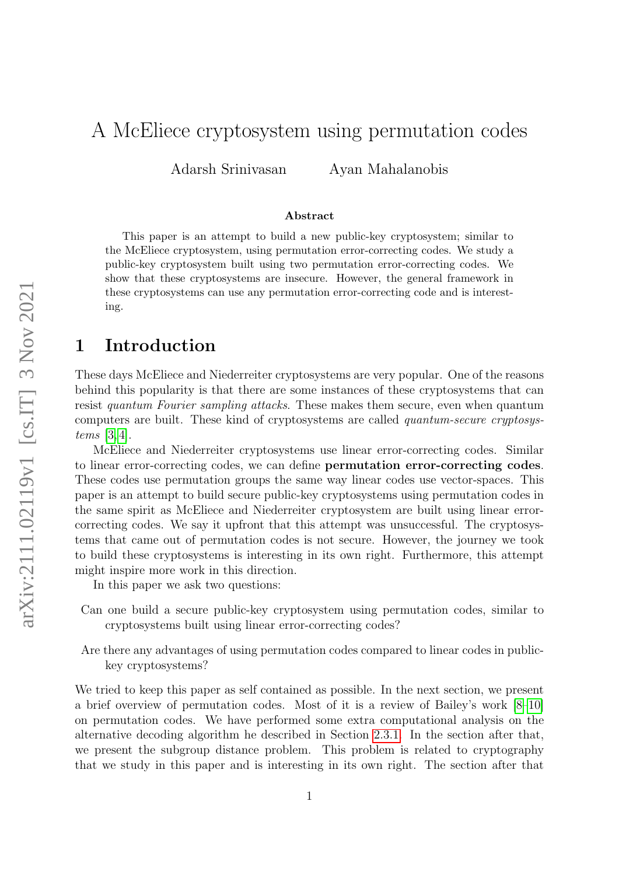# A McEliece cryptosystem using permutation codes

Adarsh Srinivasan Ayan Mahalanobis

#### Abstract

This paper is an attempt to build a new public-key cryptosystem; similar to the McEliece cryptosystem, using permutation error-correcting codes. We study a public-key cryptosystem built using two permutation error-correcting codes. We show that these cryptosystems are insecure. However, the general framework in these cryptosystems can use any permutation error-correcting code and is interesting.

# 1 Introduction

These days McEliece and Niederreiter cryptosystems are very popular. One of the reasons behind this popularity is that there are some instances of these cryptosystems that can resist quantum Fourier sampling attacks. These makes them secure, even when quantum computers are built. These kind of cryptosystems are called quantum-secure cryptosystems [\[3,](#page-22-0) [4\]](#page-22-1).

McEliece and Niederreiter cryptosystems use linear error-correcting codes. Similar to linear error-correcting codes, we can define permutation error-correcting codes. These codes use permutation groups the same way linear codes use vector-spaces. This paper is an attempt to build secure public-key cryptosystems using permutation codes in the same spirit as McEliece and Niederreiter cryptosystem are built using linear errorcorrecting codes. We say it upfront that this attempt was unsuccessful. The cryptosystems that came out of permutation codes is not secure. However, the journey we took to build these cryptosystems is interesting in its own right. Furthermore, this attempt might inspire more work in this direction.

In this paper we ask two questions:

- Can one build a secure public-key cryptosystem using permutation codes, similar to cryptosystems built using linear error-correcting codes?
- Are there any advantages of using permutation codes compared to linear codes in publickey cryptosystems?

We tried to keep this paper as self contained as possible. In the next section, we present a brief overview of permutation codes. Most of it is a review of Bailey's work [\[8](#page-23-0)[–10\]](#page-23-1) on permutation codes. We have performed some extra computational analysis on the alternative decoding algorithm he described in Section [2.3.1.](#page-7-0) In the section after that, we present the subgroup distance problem. This problem is related to cryptography that we study in this paper and is interesting in its own right. The section after that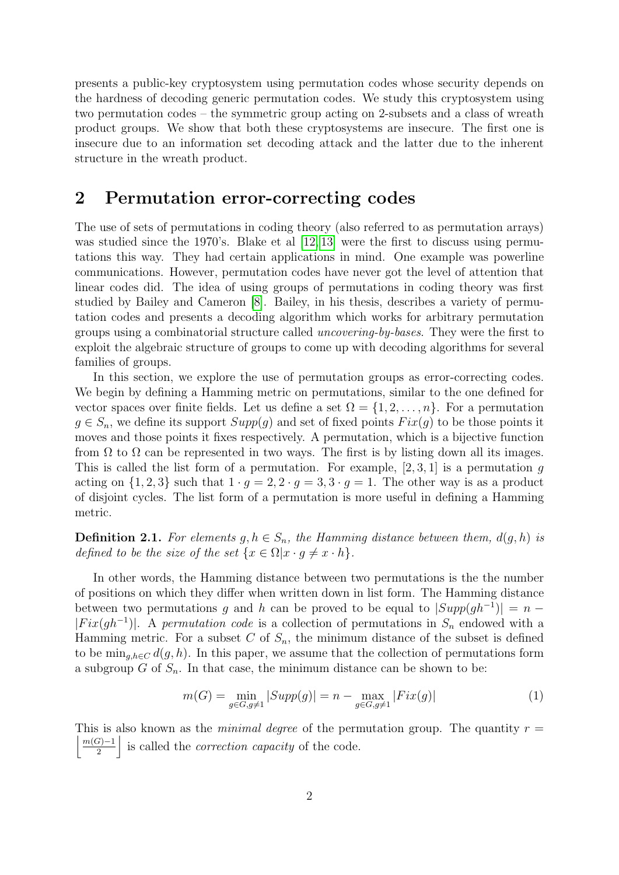presents a public-key cryptosystem using permutation codes whose security depends on the hardness of decoding generic permutation codes. We study this cryptosystem using two permutation codes – the symmetric group acting on 2-subsets and a class of wreath product groups. We show that both these cryptosystems are insecure. The first one is insecure due to an information set decoding attack and the latter due to the inherent structure in the wreath product.

## 2 Permutation error-correcting codes

The use of sets of permutations in coding theory (also referred to as permutation arrays) was studied since the 1970's. Blake et al [\[12,](#page-23-2) [13\]](#page-23-3) were the first to discuss using permutations this way. They had certain applications in mind. One example was powerline communications. However, permutation codes have never got the level of attention that linear codes did. The idea of using groups of permutations in coding theory was first studied by Bailey and Cameron [\[8\]](#page-23-0). Bailey, in his thesis, describes a variety of permutation codes and presents a decoding algorithm which works for arbitrary permutation groups using a combinatorial structure called uncovering-by-bases. They were the first to exploit the algebraic structure of groups to come up with decoding algorithms for several families of groups.

In this section, we explore the use of permutation groups as error-correcting codes. We begin by defining a Hamming metric on permutations, similar to the one defined for vector spaces over finite fields. Let us define a set  $\Omega = \{1, 2, \ldots, n\}$ . For a permutation  $g \in S_n$ , we define its support  $Supp(g)$  and set of fixed points  $Fix(g)$  to be those points it moves and those points it fixes respectively. A permutation, which is a bijective function from  $\Omega$  to  $\Omega$  can be represented in two ways. The first is by listing down all its images. This is called the list form of a permutation. For example,  $[2, 3, 1]$  is a permutation g acting on  $\{1, 2, 3\}$  such that  $1 \cdot g = 2, 2 \cdot g = 3, 3 \cdot g = 1$ . The other way is as a product of disjoint cycles. The list form of a permutation is more useful in defining a Hamming metric.

**Definition 2.1.** For elements  $g, h \in S_n$ , the Hamming distance between them,  $d(g, h)$  is defined to be the size of the set  $\{x \in \Omega | x \cdot g \neq x \cdot h\}.$ 

In other words, the Hamming distance between two permutations is the the number of positions on which they differ when written down in list form. The Hamming distance between two permutations g and h can be proved to be equal to  $|Supp(gh^{-1})| = n |Fix(gh^{-1})|$ . A permutation code is a collection of permutations in  $S_n$  endowed with a Hamming metric. For a subset C of  $S_n$ , the minimum distance of the subset is defined to be  $\min_{q,h\in\mathcal{C}}d(q,h)$ . In this paper, we assume that the collection of permutations form a subgroup  $G$  of  $S_n$ . In that case, the minimum distance can be shown to be:

$$
m(G) = \min_{g \in G, g \neq 1} |Supp(g)| = n - \max_{g \in G, g \neq 1} |Fix(g)| \tag{1}
$$

 $m(G)-1$ This is also known as the *minimal degree* of the permutation group. The quantity  $r =$  $\left| \frac{\widetilde{\mathcal{L}}}{2} \right|$  is called the *correction capacity* of the code.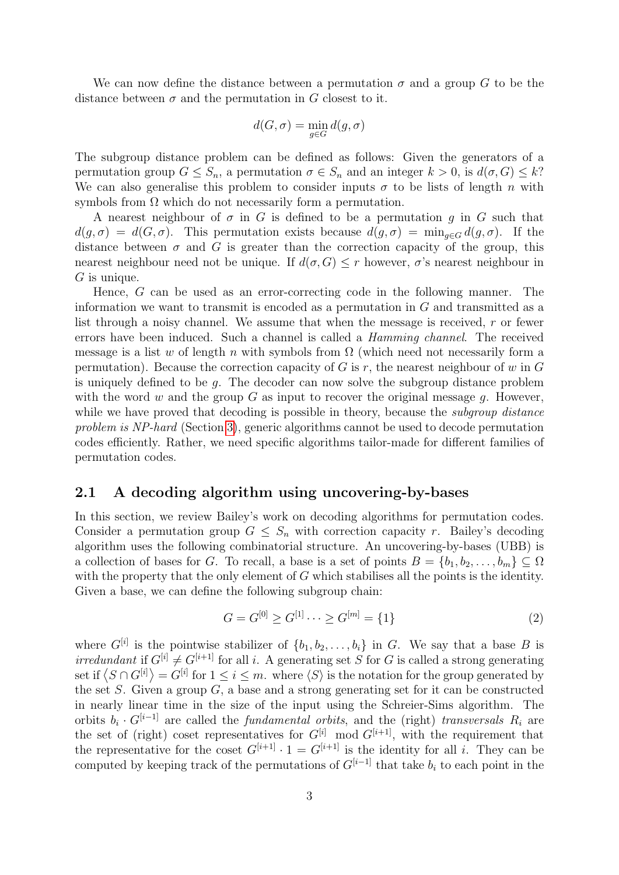We can now define the distance between a permutation  $\sigma$  and a group G to be the distance between  $\sigma$  and the permutation in G closest to it.

$$
d(G,\sigma)=\min_{g\in G}d(g,\sigma)
$$

The subgroup distance problem can be defined as follows: Given the generators of a permutation group  $G \leq S_n$ , a permutation  $\sigma \in S_n$  and an integer  $k > 0$ , is  $d(\sigma, G) \leq k$ ? We can also generalise this problem to consider inputs  $\sigma$  to be lists of length n with symbols from  $\Omega$  which do not necessarily form a permutation.

A nearest neighbour of  $\sigma$  in G is defined to be a permutation g in G such that  $d(g, \sigma) = d(G, \sigma)$ . This permutation exists because  $d(g, \sigma) = \min_{g \in G} d(g, \sigma)$ . If the distance between  $\sigma$  and G is greater than the correction capacity of the group, this nearest neighbour need not be unique. If  $d(\sigma, G) \leq r$  however,  $\sigma$ 's nearest neighbour in  $G$  is unique.

Hence, G can be used as an error-correcting code in the following manner. The information we want to transmit is encoded as a permutation in G and transmitted as a list through a noisy channel. We assume that when the message is received, r or fewer errors have been induced. Such a channel is called a Hamming channel. The received message is a list w of length n with symbols from  $\Omega$  (which need not necessarily form a permutation). Because the correction capacity of G is r, the nearest neighbour of w in G is uniquely defined to be  $q$ . The decoder can now solve the subgroup distance problem with the word w and the group G as input to recover the original message q. However, while we have proved that decoding is possible in theory, because the *subgroup distance* problem is NP-hard (Section [3\)](#page-8-0), generic algorithms cannot be used to decode permutation codes efficiently. Rather, we need specific algorithms tailor-made for different families of permutation codes.

#### 2.1 A decoding algorithm using uncovering-by-bases

In this section, we review Bailey's work on decoding algorithms for permutation codes. Consider a permutation group  $G \leq S_n$  with correction capacity r. Bailey's decoding algorithm uses the following combinatorial structure. An uncovering-by-bases (UBB) is a collection of bases for G. To recall, a base is a set of points  $B = \{b_1, b_2, \ldots, b_m\} \subseteq \Omega$ with the property that the only element of G which stabilises all the points is the identity. Given a base, we can define the following subgroup chain:

$$
G = G^{[0]} \ge G^{[1]} \cdots \ge G^{[m]} = \{1\}
$$
\n<sup>(2)</sup>

where  $G^{[i]}$  is the pointwise stabilizer of  $\{b_1, b_2, \ldots, b_i\}$  in G. We say that a base B is irredundant if  $G^{[i]} \neq G^{[i+1]}$  for all i. A generating set S for G is called a strong generating set if  $\langle S \cap G^{[i]} \rangle = G^{[i]}$  for  $1 \leq i \leq m$ . where  $\langle S \rangle$  is the notation for the group generated by the set S. Given a group  $G$ , a base and a strong generating set for it can be constructed in nearly linear time in the size of the input using the Schreier-Sims algorithm. The orbits  $b_i \cdot G^{[i-1]}$  are called the *fundamental orbits*, and the (right) transversals  $R_i$  are the set of (right) coset representatives for  $G^{[i]}$  mod  $G^{[i+1]}$ , with the requirement that the representative for the coset  $G^{[i+1]} \cdot 1 = G^{[i+1]}$  is the identity for all i. They can be computed by keeping track of the permutations of  $G^{[i-1]}$  that take  $b_i$  to each point in the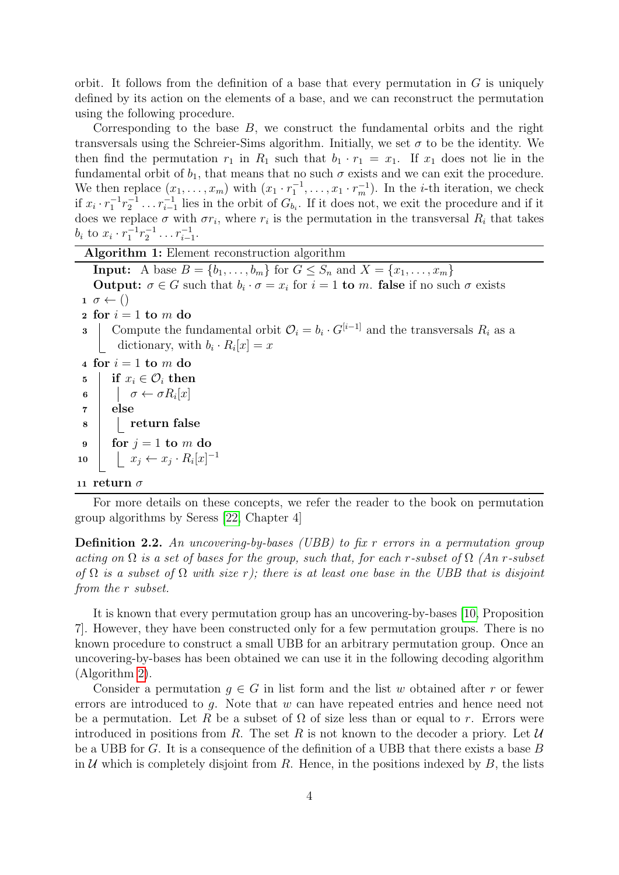orbit. It follows from the definition of a base that every permutation in  $G$  is uniquely defined by its action on the elements of a base, and we can reconstruct the permutation using the following procedure.

Corresponding to the base  $B$ , we construct the fundamental orbits and the right transversals using the Schreier-Sims algorithm. Initially, we set  $\sigma$  to be the identity. We then find the permutation  $r_1$  in  $R_1$  such that  $b_1 \cdot r_1 = x_1$ . If  $x_1$  does not lie in the fundamental orbit of  $b_1$ , that means that no such  $\sigma$  exists and we can exit the procedure. We then replace  $(x_1, \ldots, x_m)$  with  $(x_1 \cdot r_1^{-1}, \ldots, x_1 \cdot r_m^{-1})$ . In the *i*-th iteration, we check if  $x_i \cdot r_1^{-1} r_2^{-1} \ldots r_{i-1}^{-1}$  lies in the orbit of  $G_{b_i}$ . If it does not, we exit the procedure and if it does we replace  $\sigma$  with  $\sigma r_i$ , where  $r_i$  is the permutation in the transversal  $R_i$  that takes  $b_i$  to  $x_i \cdot r_1^{-1} r_2^{-1} \dots r_{i-1}^{-1}$ .

Algorithm 1: Element reconstruction algorithm **Input:** A base  $B = \{b_1, ..., b_m\}$  for  $G \leq S_n$  and  $X = \{x_1, ..., x_m\}$ **Output:**  $\sigma \in G$  such that  $b_i \cdot \sigma = x_i$  for  $i = 1$  to m. false if no such  $\sigma$  exists  $1 \sigma \leftarrow ()$  $\mathbf{2}$  for  $i=1$  to  $m$  do **3** Compute the fundamental orbit  $\mathcal{O}_i = b_i \cdot G^{[i-1]}$  and the transversals  $R_i$  as a dictionary, with  $b_i \cdot R_i[x] = x$ 4 for  $i = 1$  to m do 5 if  $x_i \in \mathcal{O}_i$  then 6  $\sigma \leftarrow \sigma R_i[x]$ <sup>7</sup> else 8 | | return false  $9 \mid \text{ for } j = 1 \text{ to } m \text{ do}$ 10  $\vert x_j \leftarrow x_j \cdot R_i[x]^{-1}$ 11 return  $\sigma$ 

<span id="page-3-0"></span>For more details on these concepts, we refer the reader to the book on permutation group algorithms by Seress [\[22,](#page-23-4) Chapter 4]

**Definition 2.2.** An uncovering-by-bases (UBB) to fix  $r$  errors in a permutation group acting on  $\Omega$  is a set of bases for the group, such that, for each r-subset of  $\Omega$  (An r-subset of  $\Omega$  is a subset of  $\Omega$  with size r); there is at least one base in the UBB that is disjoint from the r subset.

It is known that every permutation group has an uncovering-by-bases [\[10,](#page-23-1) Proposition 7]. However, they have been constructed only for a few permutation groups. There is no known procedure to construct a small UBB for an arbitrary permutation group. Once an uncovering-by-bases has been obtained we can use it in the following decoding algorithm (Algorithm [2\)](#page-4-0).

Consider a permutation  $q \in G$  in list form and the list w obtained after r or fewer errors are introduced to  $q$ . Note that  $w$  can have repeated entries and hence need not be a permutation. Let R be a subset of  $\Omega$  of size less than or equal to r. Errors were introduced in positions from R. The set R is not known to the decoder a priory. Let  $\mathcal U$ be a UBB for G. It is a consequence of the definition of a UBB that there exists a base  $B$ in U which is completely disjoint from R. Hence, in the positions indexed by B, the lists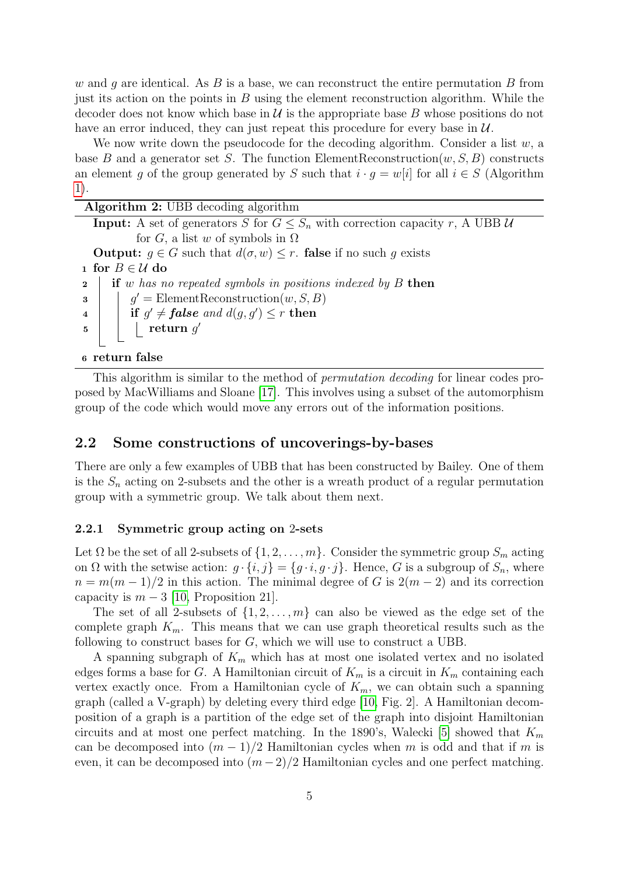w and q are identical. As B is a base, we can reconstruct the entire permutation B from just its action on the points in  $B$  using the element reconstruction algorithm. While the decoder does not know which base in  $\mathcal U$  is the appropriate base B whose positions do not have an error induced, they can just repeat this procedure for every base in  $\mathcal{U}$ .

We now write down the pseudocode for the decoding algorithm. Consider a list  $w$ , a base B and a generator set S. The function ElementReconstruction $(w, S, B)$  constructs an element g of the group generated by S such that  $i \cdot g = w[i]$  for all  $i \in S$  (Algorithm [1\)](#page-3-0).

<span id="page-4-0"></span>

| Algorithm 2: UBB decoding algorithm                                                                                |
|--------------------------------------------------------------------------------------------------------------------|
| <b>Input:</b> A set of generators S for $G \leq S_n$ with correction capacity r, A UBB U                           |
| for G, a list w of symbols in $\Omega$                                                                             |
| <b>Output:</b> $g \in G$ such that $d(\sigma, w) \leq r$ . <b>false</b> if no such g exists                        |
| 1 for $B \in \mathcal{U}$ do                                                                                       |
| if $w$ has no repeated symbols in positions indexed by $B$ then<br>$\overline{\mathbf{2}}$                         |
| $q'$ = ElementReconstruction $(w, S, B)$<br>3                                                                      |
| 4 if $g' \neq false$ and $d(g, g') \leq r$ then<br>5 then $g'$                                                     |
|                                                                                                                    |
|                                                                                                                    |
| $\mathbf{c}$ and $\mathbf{c}$ and $\mathbf{c}$ and $\mathbf{c}$ and $\mathbf{c}$ and $\mathbf{c}$ and $\mathbf{c}$ |

<sup>6</sup> return false

This algorithm is similar to the method of permutation decoding for linear codes proposed by MacWilliams and Sloane [\[17\]](#page-23-5). This involves using a subset of the automorphism group of the code which would move any errors out of the information positions.

## <span id="page-4-1"></span>2.2 Some constructions of uncoverings-by-bases

There are only a few examples of UBB that has been constructed by Bailey. One of them is the  $S_n$  acting on 2-subsets and the other is a wreath product of a regular permutation group with a symmetric group. We talk about them next.

#### <span id="page-4-2"></span>2.2.1 Symmetric group acting on 2-sets

Let  $\Omega$  be the set of all 2-subsets of  $\{1, 2, ..., m\}$ . Consider the symmetric group  $S_m$  acting on  $\Omega$  with the setwise action:  $g \cdot \{i, j\} = \{g \cdot i, g \cdot j\}$ . Hence, G is a subgroup of  $S_n$ , where  $n = m(m-1)/2$  in this action. The minimal degree of G is  $2(m-2)$  and its correction capacity is  $m-3$  [\[10,](#page-23-1) Proposition 21].

The set of all 2-subsets of  $\{1, 2, \ldots, m\}$  can also be viewed as the edge set of the complete graph  $K_m$ . This means that we can use graph theoretical results such as the following to construct bases for G, which we will use to construct a UBB.

A spanning subgraph of  $K_m$  which has at most one isolated vertex and no isolated edges forms a base for G. A Hamiltonian circuit of  $K_m$  is a circuit in  $K_m$  containing each vertex exactly once. From a Hamiltonian cycle of  $K_m$ , we can obtain such a spanning graph (called a V-graph) by deleting every third edge [\[10,](#page-23-1) Fig. 2]. A Hamiltonian decomposition of a graph is a partition of the edge set of the graph into disjoint Hamiltonian circuits and at most one perfect matching. In the 1890's, Walecki [\[5\]](#page-23-6) showed that  $K_m$ can be decomposed into  $(m-1)/2$  Hamiltonian cycles when m is odd and that if m is even, it can be decomposed into  $(m-2)/2$  Hamiltonian cycles and one perfect matching.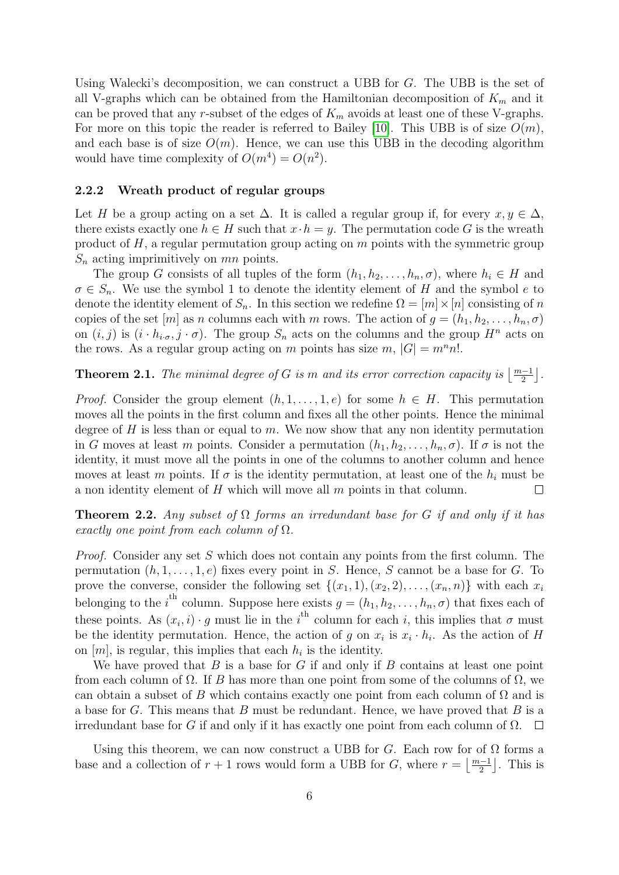Using Walecki's decomposition, we can construct a UBB for G. The UBB is the set of all V-graphs which can be obtained from the Hamiltonian decomposition of  $K_m$  and it can be proved that any r-subset of the edges of  $K_m$  avoids at least one of these V-graphs. For more on this topic the reader is referred to Bailey [\[10\]](#page-23-1). This UBB is of size  $O(m)$ , and each base is of size  $O(m)$ . Hence, we can use this UBB in the decoding algorithm would have time complexity of  $O(m^4) = O(n^2)$ .

#### 2.2.2 Wreath product of regular groups

Let H be a group acting on a set  $\Delta$ . It is called a regular group if, for every  $x, y \in \Delta$ , there exists exactly one  $h \in H$  such that  $x \cdot h = y$ . The permutation code G is the wreath product of  $H$ , a regular permutation group acting on  $m$  points with the symmetric group  $S_n$  acting imprimitively on  $mn$  points.

The group G consists of all tuples of the form  $(h_1, h_2, \ldots, h_n, \sigma)$ , where  $h_i \in H$  and  $\sigma \in S_n$ . We use the symbol 1 to denote the identity element of H and the symbol e to denote the identity element of  $S_n$ . In this section we redefine  $\Omega = [m] \times [n]$  consisting of n copies of the set  $[m]$  as n columns each with m rows. The action of  $g = (h_1, h_2, \ldots, h_n, \sigma)$ on  $(i, j)$  is  $(i \cdot h_{i \cdot \sigma}, j \cdot \sigma)$ . The group  $S_n$  acts on the columns and the group  $H^n$  acts on the rows. As a regular group acting on m points has size m,  $|G| = m^n n!$ .

**Theorem 2.1.** The minimal degree of G is m and its error correction capacity is  $\lfloor \frac{m-1}{2} \rfloor$ .

*Proof.* Consider the group element  $(h, 1, \ldots, 1, e)$  for some  $h \in H$ . This permutation moves all the points in the first column and fixes all the other points. Hence the minimal degree of  $H$  is less than or equal to  $m$ . We now show that any non identity permutation in G moves at least m points. Consider a permutation  $(h_1, h_2, \ldots, h_n, \sigma)$ . If  $\sigma$  is not the identity, it must move all the points in one of the columns to another column and hence moves at least m points. If  $\sigma$  is the identity permutation, at least one of the  $h_i$  must be a non identity element of  $H$  which will move all  $m$  points in that column.  $\Box$ 

**Theorem 2.2.** Any subset of  $\Omega$  forms an irredundant base for G if and only if it has exactly one point from each column of  $\Omega$ .

Proof. Consider any set S which does not contain any points from the first column. The permutation  $(h, 1, \ldots, 1, e)$  fixes every point in S. Hence, S cannot be a base for G. To prove the converse, consider the following set  $\{(x_1, 1), (x_2, 2), \ldots, (x_n, n)\}\)$  with each  $x_i$ belonging to the i<sup>th</sup> column. Suppose here exists  $g = (h_1, h_2, \ldots, h_n, \sigma)$  that fixes each of these points. As  $(x_i, i) \cdot g$  must lie in the i<sup>th</sup> column for each i, this implies that  $\sigma$  must be the identity permutation. Hence, the action of g on  $x_i$  is  $x_i \cdot h_i$ . As the action of H on  $[m]$ , is regular, this implies that each  $h_i$  is the identity.

We have proved that  $B$  is a base for  $G$  if and only if  $B$  contains at least one point from each column of  $\Omega$ . If B has more than one point from some of the columns of  $\Omega$ , we can obtain a subset of B which contains exactly one point from each column of  $\Omega$  and is a base for G. This means that B must be redundant. Hence, we have proved that B is a irredundant base for G if and only if it has exactly one point from each column of  $\Omega$ .  $\square$ 

Using this theorem, we can now construct a UBB for G. Each row for of  $\Omega$  forms a base and a collection of  $r + 1$  rows would form a UBB for G, where  $r = \left\lfloor \frac{m-1}{2} \right\rfloor$ . This is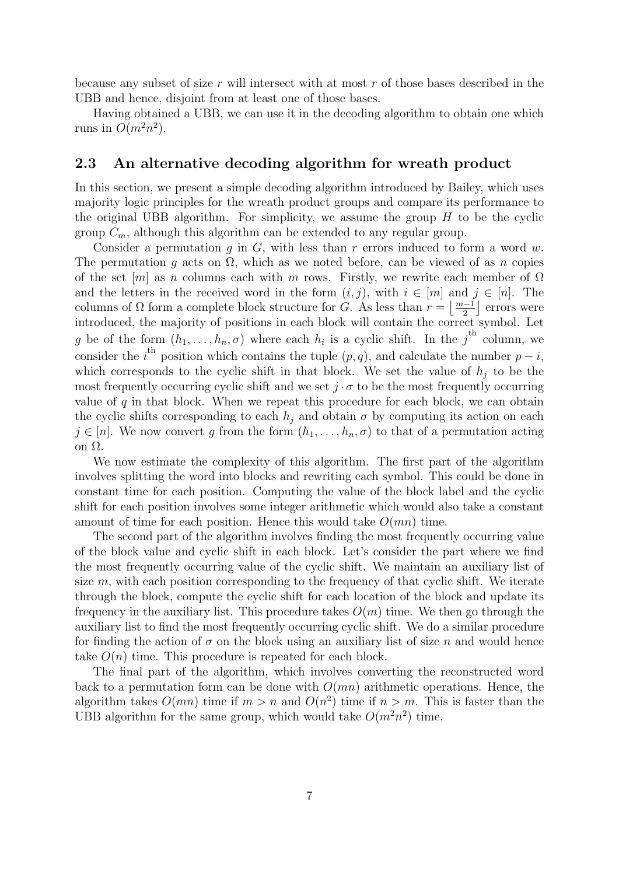because any subset of size r will intersect with at most r of those bases described in the UBB and hence, disjoint from at least one of those bases.

Having obtained a UBB, we can use it in the decoding algorithm to obtain one which runs in  $O(m^2n^2)$ .

### <span id="page-6-0"></span>2.3 An alternative decoding algorithm for wreath product

In this section, we present a simple decoding algorithm introduced by Bailey, which uses majority logic principles for the wreath product groups and compare its performance to the original UBB algorithm. For simplicity, we assume the group  $H$  to be the cyclic group  $C_m$ , although this algorithm can be extended to any regular group.

Consider a permutation  $g$  in  $G$ , with less than  $r$  errors induced to form a word  $w$ . The permutation g acts on  $\Omega$ , which as we noted before, can be viewed of as n copies of the set  $[m]$  as n columns each with m rows. Firstly, we rewrite each member of  $\Omega$ and the letters in the received word in the form  $(i, j)$ , with  $i \in [m]$  and  $j \in [n]$ . The columns of  $\Omega$  form a complete block structure for G. As less than  $r = \lfloor \frac{m-1}{2} \rfloor$  errors were introduced, the majority of positions in each block will contain the correct symbol. Let g be of the form  $(h_1, \ldots, h_n, \sigma)$  where each  $h_i$  is a cyclic shift. In the  $j^{\text{th}}$  column, we consider the i<sup>th</sup> position which contains the tuple  $(p, q)$ , and calculate the number  $p - i$ , which corresponds to the cyclic shift in that block. We set the value of  $h_j$  to be the most frequently occurring cyclic shift and we set  $j \cdot \sigma$  to be the most frequently occurring value of q in that block. When we repeat this procedure for each block, we can obtain the cyclic shifts corresponding to each  $h_j$  and obtain  $\sigma$  by computing its action on each  $j \in [n]$ . We now convert g from the form  $(h_1, \ldots, h_n, \sigma)$  to that of a permutation acting on Ω.

We now estimate the complexity of this algorithm. The first part of the algorithm involves splitting the word into blocks and rewriting each symbol. This could be done in constant time for each position. Computing the value of the block label and the cyclic shift for each position involves some integer arithmetic which would also take a constant amount of time for each position. Hence this would take  $O(mn)$  time.

The second part of the algorithm involves finding the most frequently occurring value of the block value and cyclic shift in each block. Let's consider the part where we find the most frequently occurring value of the cyclic shift. We maintain an auxiliary list of size  $m$ , with each position corresponding to the frequency of that cyclic shift. We iterate through the block, compute the cyclic shift for each location of the block and update its frequency in the auxiliary list. This procedure takes  $O(m)$  time. We then go through the auxiliary list to find the most frequently occurring cyclic shift. We do a similar procedure for finding the action of  $\sigma$  on the block using an auxiliary list of size n and would hence take  $O(n)$  time. This procedure is repeated for each block.

The final part of the algorithm, which involves converting the reconstructed word back to a permutation form can be done with  $O(mn)$  arithmetic operations. Hence, the algorithm takes  $O(mn)$  time if  $m > n$  and  $O(n^2)$  time if  $n > m$ . This is faster than the UBB algorithm for the same group, which would take  $O(m^2n^2)$  time.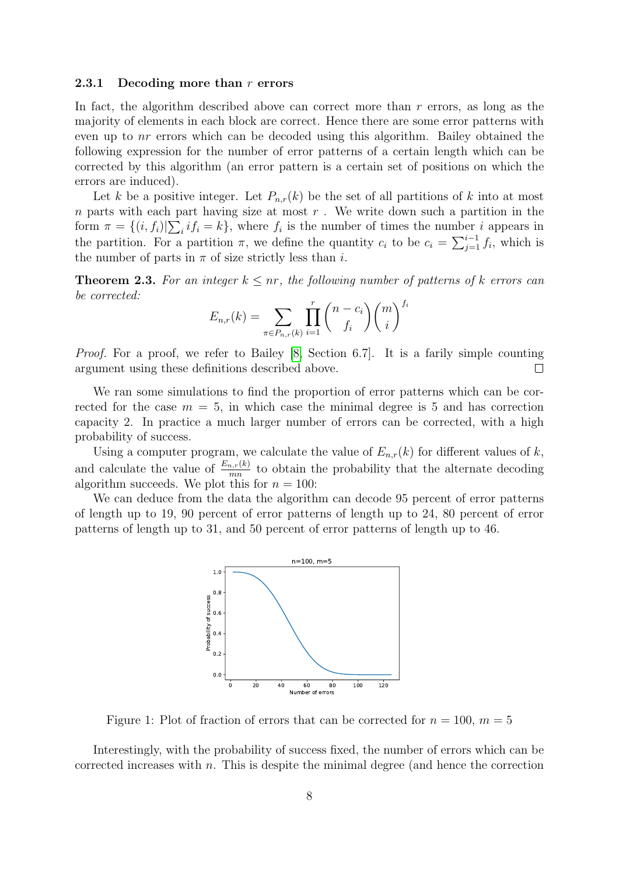#### <span id="page-7-0"></span>2.3.1 Decoding more than  $r$  errors

In fact, the algorithm described above can correct more than  $r$  errors, as long as the majority of elements in each block are correct. Hence there are some error patterns with even up to nr errors which can be decoded using this algorithm. Bailey obtained the following expression for the number of error patterns of a certain length which can be corrected by this algorithm (an error pattern is a certain set of positions on which the errors are induced).

Let k be a positive integer. Let  $P_{n,r}(k)$  be the set of all partitions of k into at most n parts with each part having size at most  $r$ . We write down such a partition in the form  $\pi = \{(i, f_i)|\sum_i if_i = k\}$ , where  $f_i$  is the number of times the number i appears in the partition. For a partition  $\pi$ , we define the quantity  $c_i$  to be  $c_i = \sum_{j=1}^{i-1} f_i$ , which is the number of parts in  $\pi$  of size strictly less than *i*.

**Theorem 2.3.** For an integer  $k \leq nr$ , the following number of patterns of k errors can be corrected:

$$
E_{n,r}(k) = \sum_{\pi \in P_{n,r}(k)} \prod_{i=1}^r {n - c_i \choose f_i} {m \choose i}^{f_i}
$$

Proof. For a proof, we refer to Bailey [\[8,](#page-23-0) Section 6.7]. It is a farily simple counting argument using these definitions described above.  $\Box$ 

We ran some simulations to find the proportion of error patterns which can be corrected for the case  $m = 5$ , in which case the minimal degree is 5 and has correction capacity 2. In practice a much larger number of errors can be corrected, with a high probability of success.

Using a computer program, we calculate the value of  $E_{n,r}(k)$  for different values of k, and calculate the value of  $\frac{E_{n,r}(k)}{mn}$  to obtain the probability that the alternate decoding algorithm succeeds. We plot this for  $n = 100$ :

We can deduce from the data the algorithm can decode 95 percent of error patterns of length up to 19, 90 percent of error patterns of length up to 24, 80 percent of error patterns of length up to 31, and 50 percent of error patterns of length up to 46.



Figure 1: Plot of fraction of errors that can be corrected for  $n = 100$ ,  $m = 5$ 

Interestingly, with the probability of success fixed, the number of errors which can be corrected increases with  $n$ . This is despite the minimal degree (and hence the correction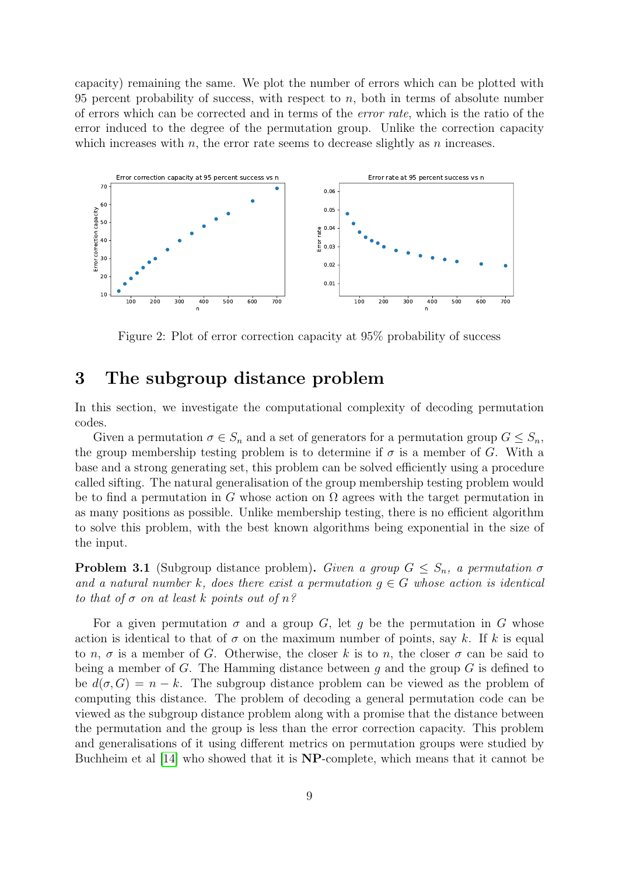capacity) remaining the same. We plot the number of errors which can be plotted with 95 percent probability of success, with respect to  $n$ , both in terms of absolute number of errors which can be corrected and in terms of the error rate, which is the ratio of the error induced to the degree of the permutation group. Unlike the correction capacity which increases with  $n$ , the error rate seems to decrease slightly as  $n$  increases.



Figure 2: Plot of error correction capacity at 95% probability of success

## <span id="page-8-0"></span>3 The subgroup distance problem

In this section, we investigate the computational complexity of decoding permutation codes.

Given a permutation  $\sigma \in S_n$  and a set of generators for a permutation group  $G \leq S_n$ , the group membership testing problem is to determine if  $\sigma$  is a member of G. With a base and a strong generating set, this problem can be solved efficiently using a procedure called sifting. The natural generalisation of the group membership testing problem would be to find a permutation in G whose action on  $\Omega$  agrees with the target permutation in as many positions as possible. Unlike membership testing, there is no efficient algorithm to solve this problem, with the best known algorithms being exponential in the size of the input.

**Problem 3.1** (Subgroup distance problem). Given a group  $G \leq S_n$ , a permutation  $\sigma$ and a natural number k, does there exist a permutation  $g \in G$  whose action is identical to that of  $\sigma$  on at least k points out of  $n$ ?

For a given permutation  $\sigma$  and a group G, let q be the permutation in G whose action is identical to that of  $\sigma$  on the maximum number of points, say k. If k is equal to n,  $\sigma$  is a member of G. Otherwise, the closer k is to n, the closer  $\sigma$  can be said to being a member of G. The Hamming distance between q and the group  $G$  is defined to be  $d(\sigma, G) = n - k$ . The subgroup distance problem can be viewed as the problem of computing this distance. The problem of decoding a general permutation code can be viewed as the subgroup distance problem along with a promise that the distance between the permutation and the group is less than the error correction capacity. This problem and generalisations of it using different metrics on permutation groups were studied by Buchheim et al [\[14\]](#page-23-7) who showed that it is NP-complete, which means that it cannot be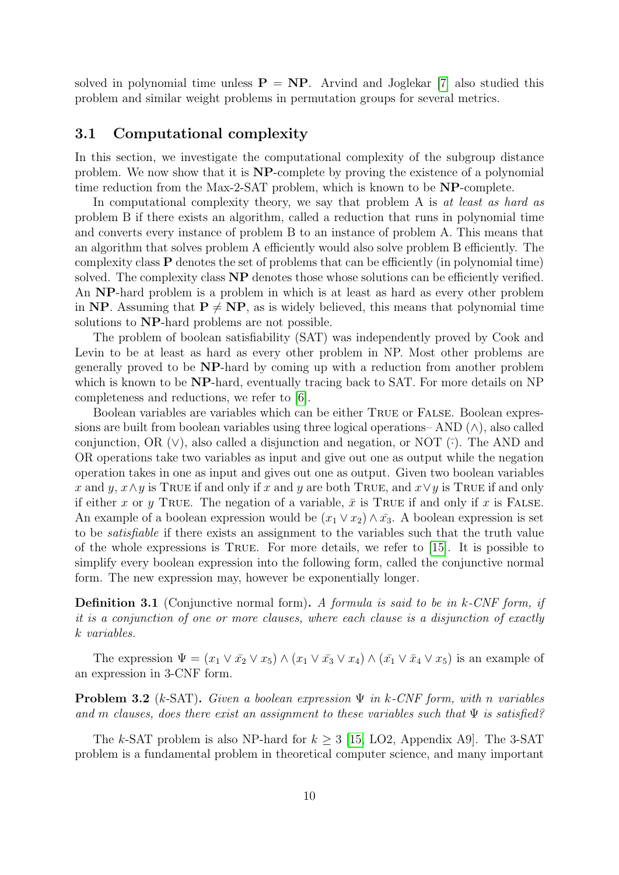solved in polynomial time unless  $P = NP$ . Arvind and Joglekar [\[7\]](#page-23-8) also studied this problem and similar weight problems in permutation groups for several metrics.

### 3.1 Computational complexity

In this section, we investigate the computational complexity of the subgroup distance problem. We now show that it is NP-complete by proving the existence of a polynomial time reduction from the Max-2-SAT problem, which is known to be NP-complete.

In computational complexity theory, we say that problem A is at least as hard as problem B if there exists an algorithm, called a reduction that runs in polynomial time and converts every instance of problem B to an instance of problem A. This means that an algorithm that solves problem A efficiently would also solve problem B efficiently. The complexity class P denotes the set of problems that can be efficiently (in polynomial time) solved. The complexity class  $NP$  denotes those whose solutions can be efficiently verified. An NP-hard problem is a problem in which is at least as hard as every other problem in NP. Assuming that  $P \neq NP$ , as is widely believed, this means that polynomial time solutions to NP-hard problems are not possible.

The problem of boolean satisfiability (SAT) was independently proved by Cook and Levin to be at least as hard as every other problem in NP. Most other problems are generally proved to be NP-hard by coming up with a reduction from another problem which is known to be **NP**-hard, eventually tracing back to SAT. For more details on NP completeness and reductions, we refer to [\[6\]](#page-23-9).

Boolean variables are variables which can be either True or False. Boolean expressions are built from boolean variables using three logical operations– AND  $(\wedge)$ , also called conjunction, OR  $(V)$ , also called a disjunction and negation, or NOT  $(\bar{\cdot})$ . The AND and OR operations take two variables as input and give out one as output while the negation operation takes in one as input and gives out one as output. Given two boolean variables x and y,  $x \wedge y$  is True if and only if x and y are both True, and  $x \vee y$  is True if and only if either x or y TRUE. The negation of a variable,  $\bar{x}$  is TRUE if and only if x is FALSE. An example of a boolean expression would be  $(x_1 \vee x_2) \wedge \overline{x_3}$ . A boolean expression is set to be satisfiable if there exists an assignment to the variables such that the truth value of the whole expressions is True. For more details, we refer to [\[15\]](#page-23-10). It is possible to simplify every boolean expression into the following form, called the conjunctive normal form. The new expression may, however be exponentially longer.

**Definition 3.1** (Conjunctive normal form). A formula is said to be in  $k$ -CNF form, if it is a conjunction of one or more clauses, where each clause is a disjunction of exactly k variables.

The expression  $\Psi = (x_1 \vee \overline{x_2} \vee x_5) \wedge (x_1 \vee \overline{x_3} \vee x_4) \wedge (\overline{x_1} \vee \overline{x_4} \vee x_5)$  is an example of an expression in 3-CNF form.

**Problem 3.2** (k-SAT). Given a boolean expression  $\Psi$  in k-CNF form, with n variables and m clauses, does there exist an assignment to these variables such that  $\Psi$  is satisfied?

The k-SAT problem is also NP-hard for  $k > 3$  [\[15,](#page-23-10) LO2, Appendix A9]. The 3-SAT problem is a fundamental problem in theoretical computer science, and many important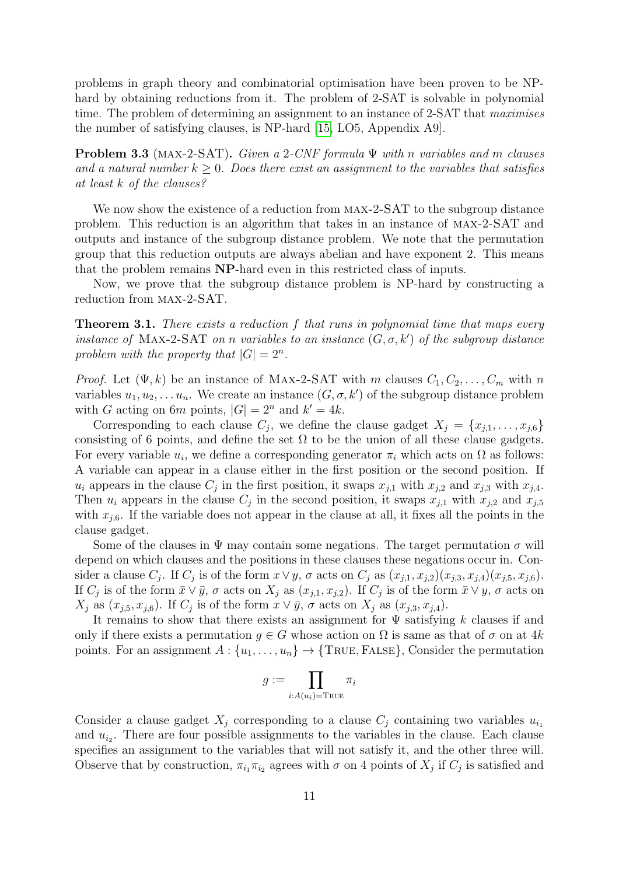problems in graph theory and combinatorial optimisation have been proven to be NPhard by obtaining reductions from it. The problem of 2-SAT is solvable in polynomial time. The problem of determining an assignment to an instance of 2-SAT that maximises the number of satisfying clauses, is NP-hard [\[15,](#page-23-10) LO5, Appendix A9].

**Problem 3.3** (MAX-2-SAT). Given a 2-CNF formula  $\Psi$  with n variables and m clauses and a natural number  $k \geq 0$ . Does there exist an assignment to the variables that satisfies at least k of the clauses?

We now show the existence of a reduction from MAX-2-SAT to the subgroup distance problem. This reduction is an algorithm that takes in an instance of max-2-SAT and outputs and instance of the subgroup distance problem. We note that the permutation group that this reduction outputs are always abelian and have exponent 2. This means that the problem remains NP-hard even in this restricted class of inputs.

Now, we prove that the subgroup distance problem is NP-hard by constructing a reduction from max-2-SAT.

**Theorem 3.1.** There exists a reduction f that runs in polynomial time that maps every instance of MAX-2-SAT on n variables to an instance  $(G, \sigma, k')$  of the subgroup distance problem with the property that  $|G| = 2^n$ .

*Proof.* Let  $(\Psi, k)$  be an instance of MAX-2-SAT with m clauses  $C_1, C_2, \ldots, C_m$  with n variables  $u_1, u_2, \ldots u_n$ . We create an instance  $(G, \sigma, k')$  of the subgroup distance problem with G acting on 6m points,  $|G| = 2^n$  and  $k' = 4k$ .

Corresponding to each clause  $C_j$ , we define the clause gadget  $X_j = \{x_{j,1}, \ldots, x_{j,6}\}\$ consisting of 6 points, and define the set  $\Omega$  to be the union of all these clause gadgets. For every variable  $u_i$ , we define a corresponding generator  $\pi_i$  which acts on  $\Omega$  as follows: A variable can appear in a clause either in the first position or the second position. If  $u_i$  appears in the clause  $C_j$  in the first position, it swaps  $x_{j,1}$  with  $x_{j,2}$  and  $x_{j,3}$  with  $x_{j,4}$ . Then  $u_i$  appears in the clause  $C_j$  in the second position, it swaps  $x_{j,1}$  with  $x_{j,2}$  and  $x_{j,5}$ with  $x_{i,6}$ . If the variable does not appear in the clause at all, it fixes all the points in the clause gadget.

Some of the clauses in  $\Psi$  may contain some negations. The target permutation  $\sigma$  will depend on which clauses and the positions in these clauses these negations occur in. Consider a clause  $C_j$ . If  $C_j$  is of the form  $x \vee y$ ,  $\sigma$  acts on  $C_j$  as  $(x_{j,1}, x_{j,2})(x_{j,3}, x_{j,4})(x_{j,5}, x_{j,6})$ . If  $C_j$  is of the form  $\bar{x} \vee \bar{y}$ ,  $\sigma$  acts on  $X_j$  as  $(x_{j,1}, x_{j,2})$ . If  $C_j$  is of the form  $\bar{x} \vee y$ ,  $\sigma$  acts on  $X_j$  as  $(x_{j,5}, x_{j,6})$ . If  $C_j$  is of the form  $x \vee \overline{y}$ ,  $\sigma$  acts on  $X_j$  as  $(x_{j,3}, x_{j,4})$ .

It remains to show that there exists an assignment for  $\Psi$  satisfying k clauses if and only if there exists a permutation  $g \in G$  whose action on  $\Omega$  is same as that of  $\sigma$  on at 4k points. For an assignment  $A: \{u_1, \ldots, u_n\} \to \{\text{TRUE}, \text{False}\},$  Consider the permutation

$$
g:=\prod_{i:A(u_i)={\rm True}}\pi_i
$$

Consider a clause gadget  $X_i$  corresponding to a clause  $C_i$  containing two variables  $u_{i_1}$ and  $u_{i_2}$ . There are four possible assignments to the variables in the clause. Each clause specifies an assignment to the variables that will not satisfy it, and the other three will. Observe that by construction,  $\pi_{i_1}\pi_{i_2}$  agrees with  $\sigma$  on 4 points of  $X_j$  if  $C_j$  is satisfied and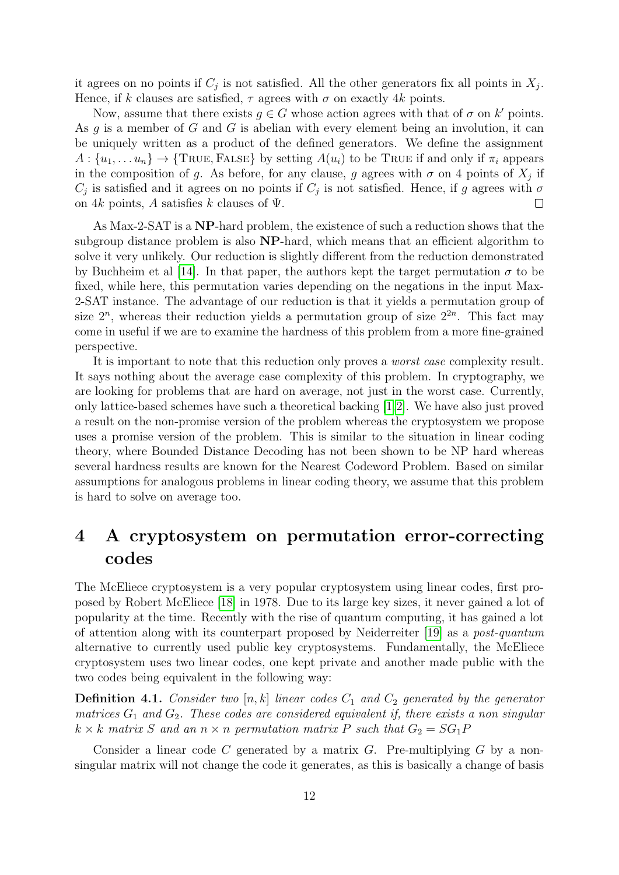it agrees on no points if  $C_j$  is not satisfied. All the other generators fix all points in  $X_j$ . Hence, if k clauses are satisfied,  $\tau$  agrees with  $\sigma$  on exactly 4k points.

Now, assume that there exists  $g \in G$  whose action agrees with that of  $\sigma$  on k' points. As  $g$  is a member of  $G$  and  $G$  is abelian with every element being an involution, it can be uniquely written as a product of the defined generators. We define the assignment  $A: \{u_1, \ldots u_n\} \to \{\text{TRUE}, \text{FALSE}\}\$ by setting  $A(u_i)$  to be True if and only if  $\pi_i$  appears in the composition of g. As before, for any clause, g agrees with  $\sigma$  on 4 points of  $X_j$  if  $C_j$  is satisfied and it agrees on no points if  $C_j$  is not satisfied. Hence, if g agrees with  $\sigma$ on 4k points, A satisfies k clauses of  $\Psi$ .  $\Box$ 

As Max-2-SAT is a NP-hard problem, the existence of such a reduction shows that the subgroup distance problem is also NP-hard, which means that an efficient algorithm to solve it very unlikely. Our reduction is slightly different from the reduction demonstrated by Buchheim et al [\[14\]](#page-23-7). In that paper, the authors kept the target permutation  $\sigma$  to be fixed, while here, this permutation varies depending on the negations in the input Max-2-SAT instance. The advantage of our reduction is that it yields a permutation group of size  $2^n$ , whereas their reduction yields a permutation group of size  $2^{2n}$ . This fact may come in useful if we are to examine the hardness of this problem from a more fine-grained perspective.

It is important to note that this reduction only proves a worst case complexity result. It says nothing about the average case complexity of this problem. In cryptography, we are looking for problems that are hard on average, not just in the worst case. Currently, only lattice-based schemes have such a theoretical backing [\[1,](#page-22-2)[2\]](#page-22-3). We have also just proved a result on the non-promise version of the problem whereas the cryptosystem we propose uses a promise version of the problem. This is similar to the situation in linear coding theory, where Bounded Distance Decoding has not been shown to be NP hard whereas several hardness results are known for the Nearest Codeword Problem. Based on similar assumptions for analogous problems in linear coding theory, we assume that this problem is hard to solve on average too.

# 4 A cryptosystem on permutation error-correcting codes

The McEliece cryptosystem is a very popular cryptosystem using linear codes, first proposed by Robert McEliece [\[18\]](#page-23-11) in 1978. Due to its large key sizes, it never gained a lot of popularity at the time. Recently with the rise of quantum computing, it has gained a lot of attention along with its counterpart proposed by Neiderreiter [\[19\]](#page-23-12) as a post-quantum alternative to currently used public key cryptosystems. Fundamentally, the McEliece cryptosystem uses two linear codes, one kept private and another made public with the two codes being equivalent in the following way:

**Definition 4.1.** Consider two [n, k] linear codes  $C_1$  and  $C_2$  generated by the generator matrices  $G_1$  and  $G_2$ . These codes are considered equivalent if, there exists a non singular  $k \times k$  matrix S and an  $n \times n$  permutation matrix P such that  $G_2 = SG_1P$ 

Consider a linear code C generated by a matrix  $G$ . Pre-multiplying  $G$  by a nonsingular matrix will not change the code it generates, as this is basically a change of basis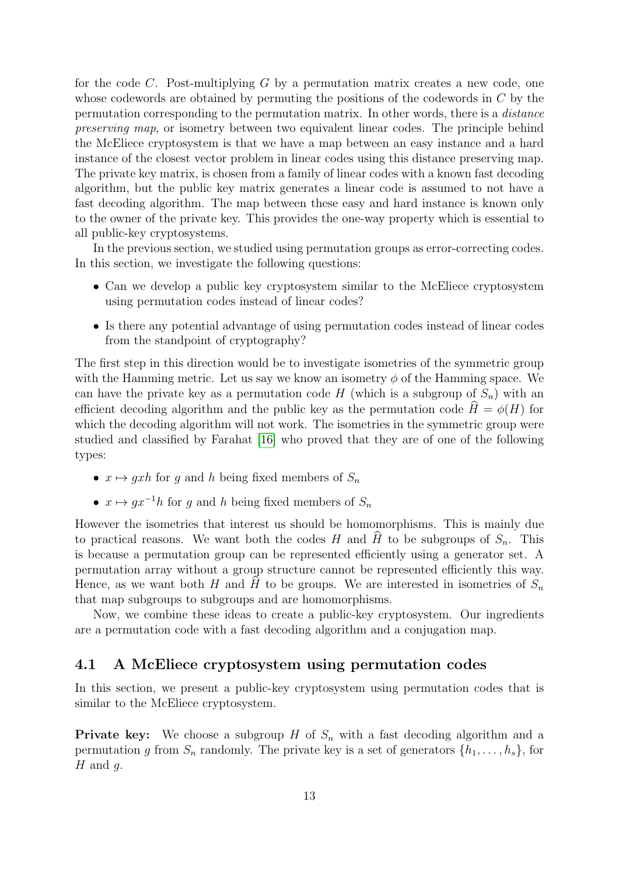for the code C. Post-multiplying G by a permutation matrix creates a new code, one whose codewords are obtained by permuting the positions of the codewords in C by the permutation corresponding to the permutation matrix. In other words, there is a distance preserving map, or isometry between two equivalent linear codes. The principle behind the McEliece cryptosystem is that we have a map between an easy instance and a hard instance of the closest vector problem in linear codes using this distance preserving map. The private key matrix, is chosen from a family of linear codes with a known fast decoding algorithm, but the public key matrix generates a linear code is assumed to not have a fast decoding algorithm. The map between these easy and hard instance is known only to the owner of the private key. This provides the one-way property which is essential to all public-key cryptosystems.

In the previous section, we studied using permutation groups as error-correcting codes. In this section, we investigate the following questions:

- Can we develop a public key cryptosystem similar to the McEliece cryptosystem using permutation codes instead of linear codes?
- Is there any potential advantage of using permutation codes instead of linear codes from the standpoint of cryptography?

The first step in this direction would be to investigate isometries of the symmetric group with the Hamming metric. Let us say we know an isometry  $\phi$  of the Hamming space. We can have the private key as a permutation code  $H$  (which is a subgroup of  $S_n$ ) with an efficient decoding algorithm and the public key as the permutation code  $\hat{H} = \phi(H)$  for which the decoding algorithm will not work. The isometries in the symmetric group were studied and classified by Farahat [\[16\]](#page-23-13) who proved that they are of one of the following types:

- $x \mapsto gxh$  for g and h being fixed members of  $S_n$
- $x \mapsto gx^{-1}h$  for g and h being fixed members of  $S_n$

However the isometries that interest us should be homomorphisms. This is mainly due to practical reasons. We want both the codes H and H to be subgroups of  $S_n$ . This is because a permutation group can be represented efficiently using a generator set. A permutation array without a group structure cannot be represented efficiently this way. Hence, as we want both H and H to be groups. We are interested in isometries of  $S_n$ that map subgroups to subgroups and are homomorphisms.

Now, we combine these ideas to create a public-key cryptosystem. Our ingredients are a permutation code with a fast decoding algorithm and a conjugation map.

## 4.1 A McEliece cryptosystem using permutation codes

In this section, we present a public-key cryptosystem using permutation codes that is similar to the McEliece cryptosystem.

**Private key:** We choose a subgroup H of  $S_n$  with a fast decoding algorithm and a permutation g from  $S_n$  randomly. The private key is a set of generators  $\{h_1, \ldots, h_s\}$ , for  $H$  and  $g$ .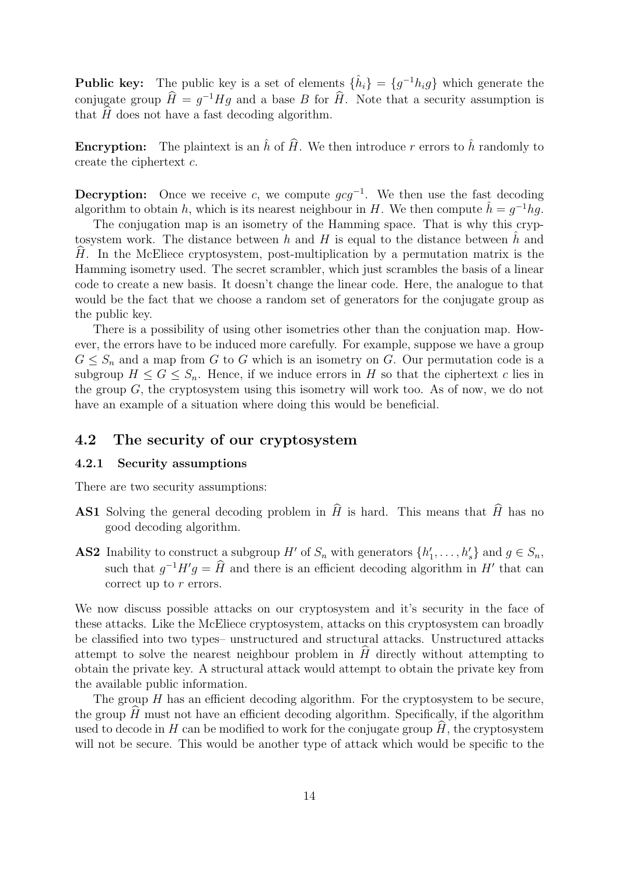**Public key:** The public key is a set of elements  $\{\hat{h}_i\} = \{g^{-1}h_ig\}$  which generate the conjugate group  $\hat{H} = g^{-1}Hg$  and a base B for  $\hat{H}$ . Note that a security assumption is that  $H$  does not have a fast decoding algorithm.

**Encryption:** The plaintext is an  $\hat{h}$  of  $\hat{H}$ . We then introduce r errors to  $\hat{h}$  randomly to create the ciphertext c.

**Decryption:** Once we receive c, we compute  $gcg^{-1}$ . We then use the fast decoding algorithm to obtain h, which is its nearest neighbour in H. We then compute  $\hat{h} = g^{-1}hg$ .

The conjugation map is an isometry of the Hamming space. That is why this cryptosystem work. The distance between  $h$  and  $H$  is equal to the distance between  $h$  and  $H$ . In the McEliece cryptosystem, post-multiplication by a permutation matrix is the Hamming isometry used. The secret scrambler, which just scrambles the basis of a linear code to create a new basis. It doesn't change the linear code. Here, the analogue to that would be the fact that we choose a random set of generators for the conjugate group as the public key.

There is a possibility of using other isometries other than the conjuation map. However, the errors have to be induced more carefully. For example, suppose we have a group  $G \leq S_n$  and a map from G to G which is an isometry on G. Our permutation code is a subgroup  $H \leq G \leq S_n$ . Hence, if we induce errors in H so that the ciphertext c lies in the group G, the cryptosystem using this isometry will work too. As of now, we do not have an example of a situation where doing this would be beneficial.

## 4.2 The security of our cryptosystem

#### 4.2.1 Security assumptions

There are two security assumptions:

- **AS1** Solving the general decoding problem in  $\hat{H}$  is hard. This means that  $\hat{H}$  has no good decoding algorithm.
- **AS2** Inability to construct a subgroup H' of  $S_n$  with generators  $\{h'_1, \ldots, h'_s\}$  and  $g \in S_n$ , such that  $g^{-1}H'g = \hat{H}$  and there is an efficient decoding algorithm in H' that can correct up to r errors.

We now discuss possible attacks on our cryptosystem and it's security in the face of these attacks. Like the McEliece cryptosystem, attacks on this cryptosystem can broadly be classified into two types– unstructured and structural attacks. Unstructured attacks attempt to solve the nearest neighbour problem in  $H$  directly without attempting to obtain the private key. A structural attack would attempt to obtain the private key from the available public information.

The group  $H$  has an efficient decoding algorithm. For the cryptosystem to be secure, the group  $H$  must not have an efficient decoding algorithm. Specifically, if the algorithm used to decode in H can be modified to work for the conjugate group  $\hat{H}$ , the cryptosystem will not be secure. This would be another type of attack which would be specific to the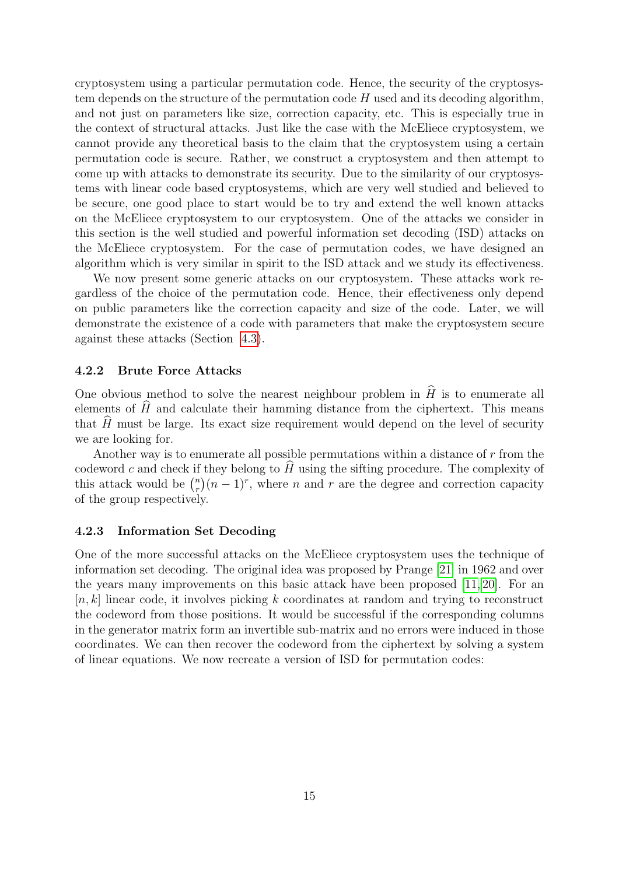cryptosystem using a particular permutation code. Hence, the security of the cryptosystem depends on the structure of the permutation code H used and its decoding algorithm, and not just on parameters like size, correction capacity, etc. This is especially true in the context of structural attacks. Just like the case with the McEliece cryptosystem, we cannot provide any theoretical basis to the claim that the cryptosystem using a certain permutation code is secure. Rather, we construct a cryptosystem and then attempt to come up with attacks to demonstrate its security. Due to the similarity of our cryptosystems with linear code based cryptosystems, which are very well studied and believed to be secure, one good place to start would be to try and extend the well known attacks on the McEliece cryptosystem to our cryptosystem. One of the attacks we consider in this section is the well studied and powerful information set decoding (ISD) attacks on the McEliece cryptosystem. For the case of permutation codes, we have designed an algorithm which is very similar in spirit to the ISD attack and we study its effectiveness.

We now present some generic attacks on our cryptosystem. These attacks work regardless of the choice of the permutation code. Hence, their effectiveness only depend on public parameters like the correction capacity and size of the code. Later, we will demonstrate the existence of a code with parameters that make the cryptosystem secure against these attacks (Section [4.3\)](#page-16-0).

#### 4.2.2 Brute Force Attacks

One obvious method to solve the nearest neighbour problem in  $\hat{H}$  is to enumerate all elements of  $\hat{H}$  and calculate their hamming distance from the ciphertext. This means that  $H$  must be large. Its exact size requirement would depend on the level of security we are looking for.

Another way is to enumerate all possible permutations within a distance of  $r$  from the codeword  $c$  and check if they belong to  $H$  using the sifting procedure. The complexity of this attack would be  $\binom{n}{r}$  $\binom{n}{r}(n-1)^r$ , where n and r are the degree and correction capacity of the group respectively.

#### 4.2.3 Information Set Decoding

One of the more successful attacks on the McEliece cryptosystem uses the technique of information set decoding. The original idea was proposed by Prange [\[21\]](#page-23-14) in 1962 and over the years many improvements on this basic attack have been proposed [\[11,](#page-23-15) [20\]](#page-23-16). For an  $[n, k]$  linear code, it involves picking k coordinates at random and trying to reconstruct the codeword from those positions. It would be successful if the corresponding columns in the generator matrix form an invertible sub-matrix and no errors were induced in those coordinates. We can then recover the codeword from the ciphertext by solving a system of linear equations. We now recreate a version of ISD for permutation codes: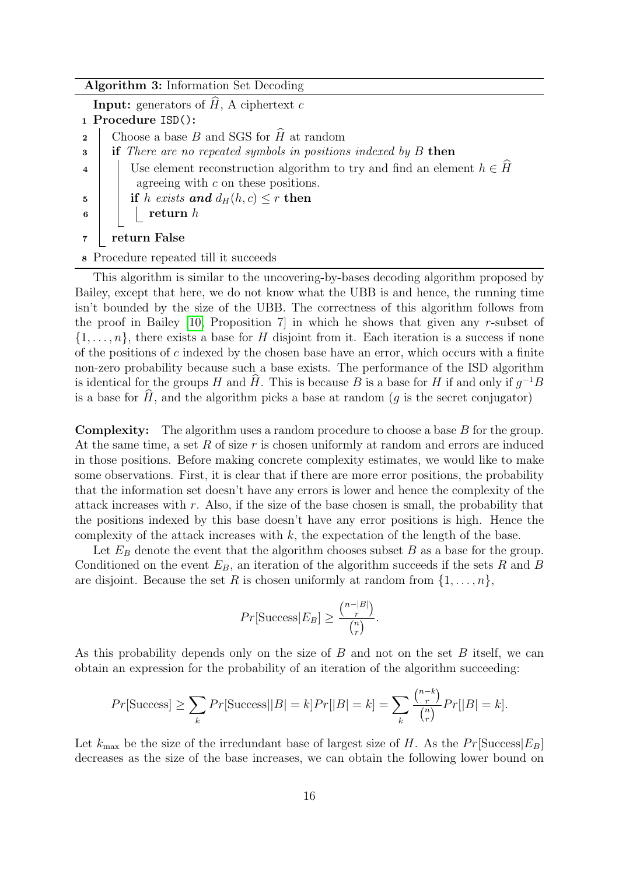#### Algorithm 3: Information Set Decoding

**Input:** generators of  $\widehat{H}$ , A ciphertext c

- <sup>1</sup> Procedure ISD():
- 2 Choose a base B and SGS for  $\widehat{H}$  at random<br>3 if There are no repeated symbols in position
- $if$  There are no repeated symbols in positions indexed by  $B$  then
- 4 Use element reconstruction algorithm to try and find an element  $h \in \hat{H}$ agreeing with  $c$  on these positions.
- 5 if h exists and  $d_H(h, c) \leq r$  then
- $\begin{array}{c|c|c|c} \hline \textbf{6} & \textbf{8} & \textbf{8} & \textbf{7} \\ \hline \end{array}$  return h

7 | return False

<sup>8</sup> Procedure repeated till it succeeds

This algorithm is similar to the uncovering-by-bases decoding algorithm proposed by Bailey, except that here, we do not know what the UBB is and hence, the running time isn't bounded by the size of the UBB. The correctness of this algorithm follows from the proof in Bailey  $[10,$  Proposition 7 in which he shows that given any r-subset of  $\{1,\ldots,n\}$ , there exists a base for H disjoint from it. Each iteration is a success if none of the positions of  $c$  indexed by the chosen base have an error, which occurs with a finite non-zero probability because such a base exists. The performance of the ISD algorithm is identical for the groups H and  $\hat{H}$ . This is because B is a base for H if and only if  $g^{-1}B$ is a base for  $\hat{H}$ , and the algorithm picks a base at random (g is the secret conjugator)

Complexity: The algorithm uses a random procedure to choose a base B for the group. At the same time, a set  $R$  of size  $r$  is chosen uniformly at random and errors are induced in those positions. Before making concrete complexity estimates, we would like to make some observations. First, it is clear that if there are more error positions, the probability that the information set doesn't have any errors is lower and hence the complexity of the attack increases with r. Also, if the size of the base chosen is small, the probability that the positions indexed by this base doesn't have any error positions is high. Hence the complexity of the attack increases with  $k$ , the expectation of the length of the base.

Let  $E_B$  denote the event that the algorithm chooses subset  $B$  as a base for the group. Conditioned on the event  $E_B$ , an iteration of the algorithm succeeds if the sets R and B are disjoint. Because the set R is chosen uniformly at random from  $\{1, \ldots, n\}$ ,

$$
Pr[\text{Success}|E_B] \ge \frac{\binom{n-|B|}{r}}{\binom{n}{r}}.
$$

As this probability depends only on the size of  $B$  and not on the set  $B$  itself, we can obtain an expression for the probability of an iteration of the algorithm succeeding:

$$
Pr[\text{Success}] \ge \sum_{k} Pr[\text{Success}||B| = k] Pr[|B| = k] = \sum_{k} \frac{\binom{n-k}{r}}{\binom{n}{r}} Pr[|B| = k].
$$

Let  $k_{\text{max}}$  be the size of the irredundant base of largest size of H. As the  $Pr[\text{Success}|E_B]$ decreases as the size of the base increases, we can obtain the following lower bound on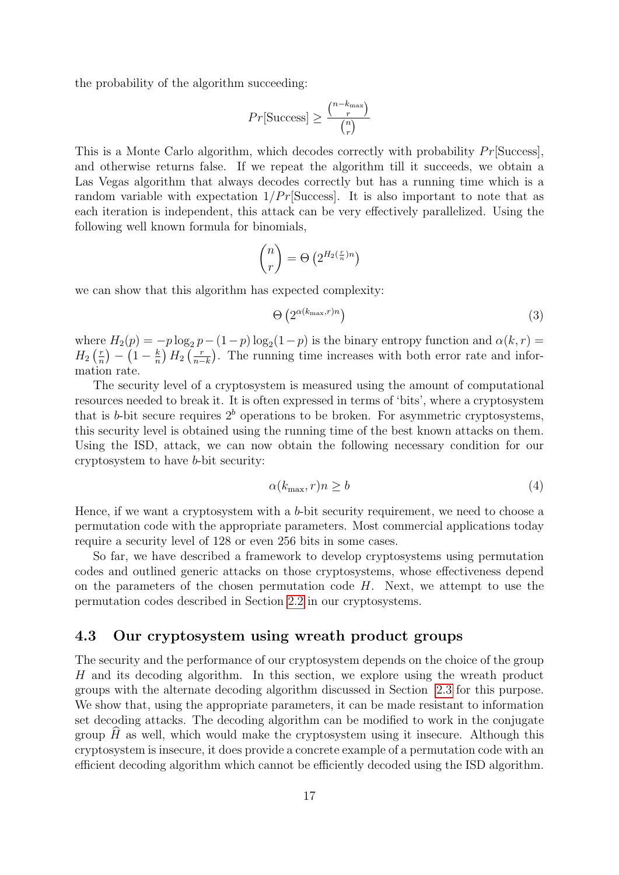the probability of the algorithm succeeding:

$$
Pr[\text{Success}] \ge \frac{\binom{n - k_{\text{max}}}{r}}{\binom{n}{r}}
$$

This is a Monte Carlo algorithm, which decodes correctly with probability  $Pr[\text{Success}]$ , and otherwise returns false. If we repeat the algorithm till it succeeds, we obtain a Las Vegas algorithm that always decodes correctly but has a running time which is a random variable with expectation  $1/Pr[\text{Success}]$ . It is also important to note that as each iteration is independent, this attack can be very effectively parallelized. Using the following well known formula for binomials,

$$
\binom{n}{r} = \Theta\left(2^{H_2\left(\frac{r}{n}\right)n}\right)
$$

we can show that this algorithm has expected complexity:

<span id="page-16-1"></span>
$$
\Theta\left(2^{\alpha(k_{\max},r)n}\right) \tag{3}
$$

where  $H_2(p) = -p \log_2 p - (1-p) \log_2(1-p)$  is the binary entropy function and  $\alpha(k, r) =$  $H_2\left(\frac{r}{n}\right)$  $\binom{r}{n} - \left(1 - \frac{k}{n}\right)$  $\frac{k}{n}$ )  $H_2$   $\left(\frac{r}{n-1}\right)$  $\frac{r}{n-k}$ ). The running time increases with both error rate and information rate.

The security level of a cryptosystem is measured using the amount of computational resources needed to break it. It is often expressed in terms of 'bits', where a cryptosystem that is b-bit secure requires  $2<sup>b</sup>$  operations to be broken. For asymmetric cryptosystems, this security level is obtained using the running time of the best known attacks on them. Using the ISD, attack, we can now obtain the following necessary condition for our cryptosystem to have b-bit security:

$$
\alpha(k_{\max}, r)n \ge b \tag{4}
$$

Hence, if we want a cryptosystem with a b-bit security requirement, we need to choose a permutation code with the appropriate parameters. Most commercial applications today require a security level of 128 or even 256 bits in some cases.

So far, we have described a framework to develop cryptosystems using permutation codes and outlined generic attacks on those cryptosystems, whose effectiveness depend on the parameters of the chosen permutation code  $H$ . Next, we attempt to use the permutation codes described in Section [2.2](#page-4-1) in our cryptosystems.

## <span id="page-16-0"></span>4.3 Our cryptosystem using wreath product groups

The security and the performance of our cryptosystem depends on the choice of the group H and its decoding algorithm. In this section, we explore using the wreath product groups with the alternate decoding algorithm discussed in Section [2.3](#page-6-0) for this purpose. We show that, using the appropriate parameters, it can be made resistant to information set decoding attacks. The decoding algorithm can be modified to work in the conjugate group  $H$  as well, which would make the cryptosystem using it insecure. Although this cryptosystem is insecure, it does provide a concrete example of a permutation code with an efficient decoding algorithm which cannot be efficiently decoded using the ISD algorithm.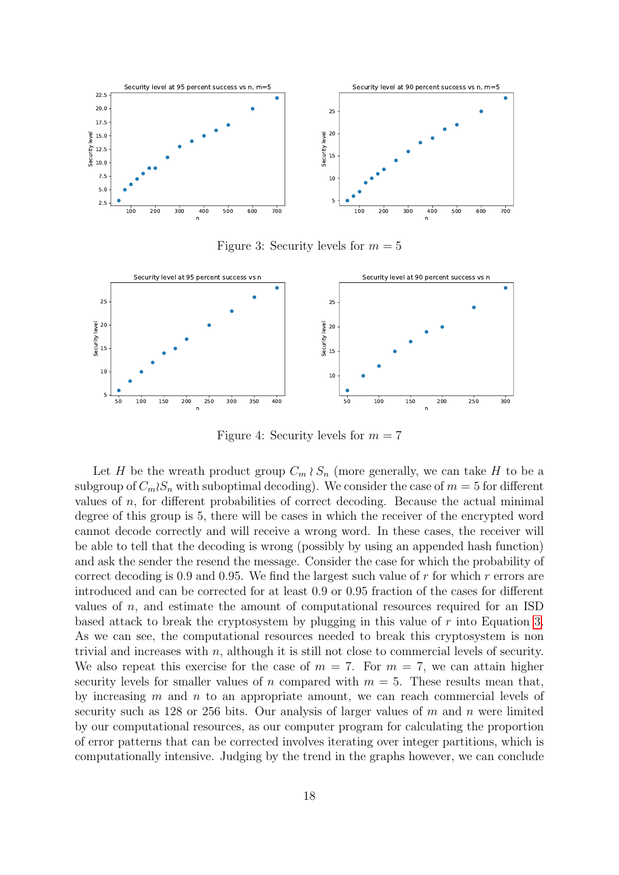

Figure 3: Security levels for  $m = 5$ 



Figure 4: Security levels for  $m = 7$ 

Let H be the wreath product group  $C_m \wr S_n$  (more generally, we can take H to be a subgroup of  $C_m \wr S_n$  with suboptimal decoding). We consider the case of  $m = 5$  for different values of  $n$ , for different probabilities of correct decoding. Because the actual minimal degree of this group is 5, there will be cases in which the receiver of the encrypted word cannot decode correctly and will receive a wrong word. In these cases, the receiver will be able to tell that the decoding is wrong (possibly by using an appended hash function) and ask the sender the resend the message. Consider the case for which the probability of correct decoding is 0.9 and 0.95. We find the largest such value of  $r$  for which  $r$  errors are introduced and can be corrected for at least 0.9 or 0.95 fraction of the cases for different values of  $n$ , and estimate the amount of computational resources required for an ISD based attack to break the cryptosystem by plugging in this value of  $r$  into Equation [3.](#page-16-1) As we can see, the computational resources needed to break this cryptosystem is non trivial and increases with  $n$ , although it is still not close to commercial levels of security. We also repeat this exercise for the case of  $m = 7$ . For  $m = 7$ , we can attain higher security levels for smaller values of n compared with  $m = 5$ . These results mean that, by increasing  $m$  and  $n$  to an appropriate amount, we can reach commercial levels of security such as 128 or 256 bits. Our analysis of larger values of  $m$  and  $n$  were limited by our computational resources, as our computer program for calculating the proportion of error patterns that can be corrected involves iterating over integer partitions, which is computationally intensive. Judging by the trend in the graphs however, we can conclude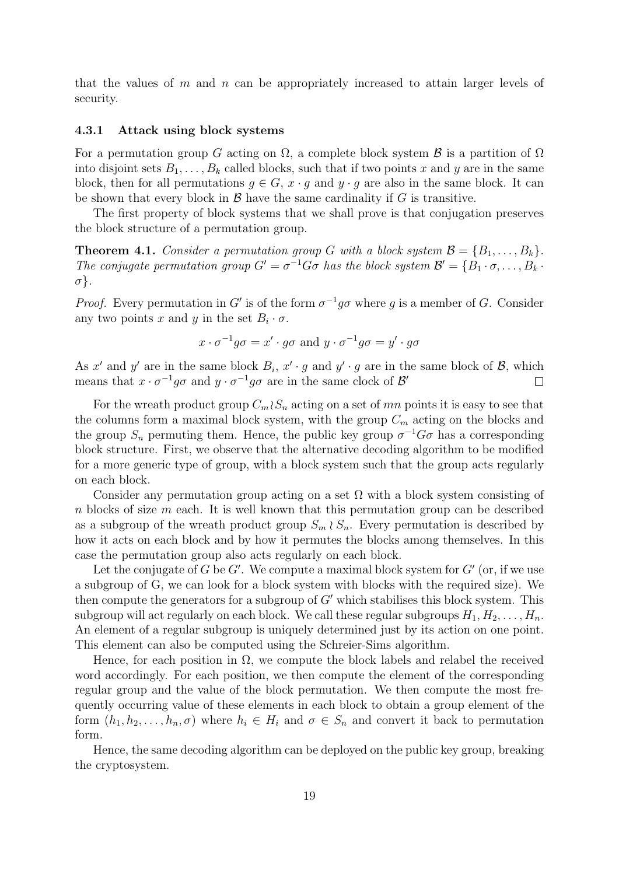that the values of  $m$  and  $n$  can be appropriately increased to attain larger levels of security.

#### 4.3.1 Attack using block systems

For a permutation group G acting on  $\Omega$ , a complete block system  $\mathcal B$  is a partition of  $\Omega$ into disjoint sets  $B_1, \ldots, B_k$  called blocks, such that if two points x and y are in the same block, then for all permutations  $g \in G$ ,  $x \cdot g$  and  $y \cdot g$  are also in the same block. It can be shown that every block in  $\mathcal{B}$  have the same cardinality if  $G$  is transitive.

The first property of block systems that we shall prove is that conjugation preserves the block structure of a permutation group.

**Theorem 4.1.** Consider a permutation group G with a block system  $\mathcal{B} = \{B_1, \ldots, B_k\}.$ The conjugate permutation group  $G' = \sigma^{-1}G\sigma$  has the block system  $\mathcal{B}' = \{B_1 \cdot \sigma, \ldots, B_k \cdot B_j\}$ σ}.

*Proof.* Every permutation in G' is of the form  $\sigma^{-1}g\sigma$  where g is a member of G. Consider any two points x and y in the set  $B_i \cdot \sigma$ .

$$
x \cdot \sigma^{-1} g \sigma = x' \cdot g \sigma \text{ and } y \cdot \sigma^{-1} g \sigma = y' \cdot g \sigma
$$

As x' and y' are in the same block  $B_i$ ,  $x' \cdot g$  and  $y' \cdot g$  are in the same block of  $\mathcal{B}$ , which means that  $x \cdot \sigma^{-1} g \sigma$  and  $y \cdot \sigma^{-1} g \sigma$  are in the same clock of  $\mathcal{B}'$  $\Box$ 

For the wreath product group  $C_m \wr S_n$  acting on a set of mn points it is easy to see that the columns form a maximal block system, with the group  $C_m$  acting on the blocks and the group  $S_n$  permuting them. Hence, the public key group  $\sigma^{-1}G\sigma$  has a corresponding block structure. First, we observe that the alternative decoding algorithm to be modified for a more generic type of group, with a block system such that the group acts regularly on each block.

Consider any permutation group acting on a set  $\Omega$  with a block system consisting of n blocks of size m each. It is well known that this permutation group can be described as a subgroup of the wreath product group  $S_m \wr S_n$ . Every permutation is described by how it acts on each block and by how it permutes the blocks among themselves. In this case the permutation group also acts regularly on each block.

Let the conjugate of  $G$  be  $G'$ . We compute a maximal block system for  $G'$  (or, if we use a subgroup of G, we can look for a block system with blocks with the required size). We then compute the generators for a subgroup of  $G'$  which stabilises this block system. This subgroup will act regularly on each block. We call these regular subgroups  $H_1, H_2, \ldots, H_n$ . An element of a regular subgroup is uniquely determined just by its action on one point. This element can also be computed using the Schreier-Sims algorithm.

Hence, for each position in  $\Omega$ , we compute the block labels and relabel the received word accordingly. For each position, we then compute the element of the corresponding regular group and the value of the block permutation. We then compute the most frequently occurring value of these elements in each block to obtain a group element of the form  $(h_1, h_2, \ldots, h_n, \sigma)$  where  $h_i \in H_i$  and  $\sigma \in S_n$  and convert it back to permutation form.

Hence, the same decoding algorithm can be deployed on the public key group, breaking the cryptosystem.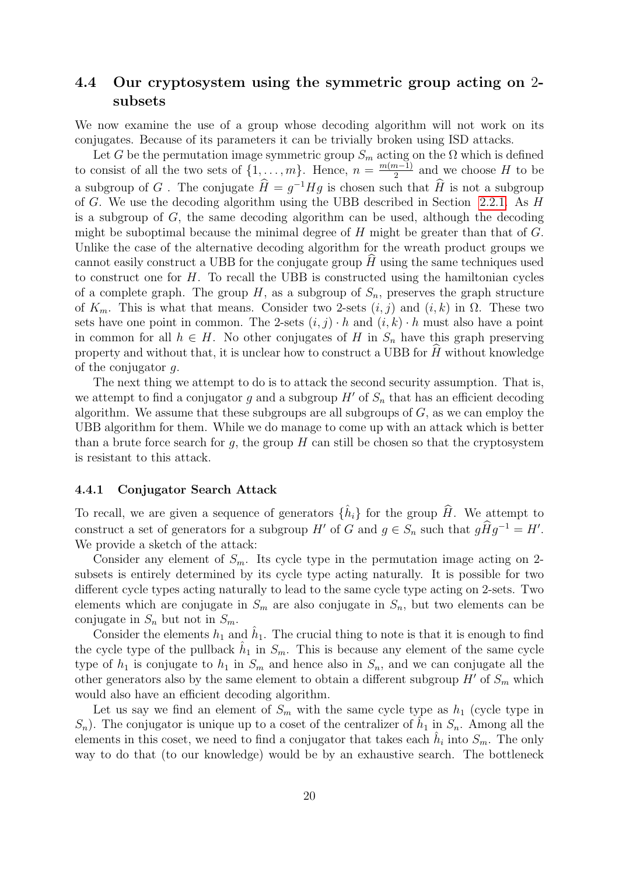## 4.4 Our cryptosystem using the symmetric group acting on 2 subsets

We now examine the use of a group whose decoding algorithm will not work on its conjugates. Because of its parameters it can be trivially broken using ISD attacks.

Let G be the permutation image symmetric group  $S_m$  acting on the  $\Omega$  which is defined to consist of all the two sets of  $\{1, \ldots, m\}$ . Hence,  $n = \frac{m(m-1)}{2}$  $\frac{n-1}{2}$  and we choose H to be a subgroup of G. The conjugate  $\hat{H} = g^{-1}Hg$  is chosen such that  $\hat{H}$  is not a subgroup of G. We use the decoding algorithm using the UBB described in Section [2.2.1.](#page-4-2) As H is a subgroup of G, the same decoding algorithm can be used, although the decoding might be suboptimal because the minimal degree of  $H$  might be greater than that of  $G$ . Unlike the case of the alternative decoding algorithm for the wreath product groups we cannot easily construct a UBB for the conjugate group  $H$  using the same techniques used to construct one for  $H$ . To recall the UBB is constructed using the hamiltonian cycles of a complete graph. The group H, as a subgroup of  $S_n$ , preserves the graph structure of  $K_m$ . This is what that means. Consider two 2-sets  $(i, j)$  and  $(i, k)$  in  $\Omega$ . These two sets have one point in common. The 2-sets  $(i, j) \cdot h$  and  $(i, k) \cdot h$  must also have a point in common for all  $h \in H$ . No other conjugates of H in  $S_n$  have this graph preserving property and without that, it is unclear how to construct a UBB for  $H$  without knowledge of the conjugator g.

The next thing we attempt to do is to attack the second security assumption. That is, we attempt to find a conjugator g and a subgroup  $H'$  of  $S_n$  that has an efficient decoding algorithm. We assume that these subgroups are all subgroups of  $G$ , as we can employ the UBB algorithm for them. While we do manage to come up with an attack which is better than a brute force search for q, the group  $H$  can still be chosen so that the cryptosystem is resistant to this attack.

#### 4.4.1 Conjugator Search Attack

To recall, we are given a sequence of generators  $\{\hat{h}_i\}$  for the group  $\hat{H}$ . We attempt to construct a set of generators for a subgroup  $H'$  of G and  $g \in S_n$  such that  $g\hat{H}g^{-1} = H'$ . We provide a sketch of the attack:

Consider any element of  $S_m$ . Its cycle type in the permutation image acting on 2subsets is entirely determined by its cycle type acting naturally. It is possible for two different cycle types acting naturally to lead to the same cycle type acting on 2-sets. Two elements which are conjugate in  $S_m$  are also conjugate in  $S_n$ , but two elements can be conjugate in  $S_n$  but not in  $S_m$ .

Consider the elements  $h_1$  and  $\hat{h}_1$ . The crucial thing to note is that it is enough to find the cycle type of the pullback  $\hat{h}_1$  in  $S_m$ . This is because any element of the same cycle type of  $h_1$  is conjugate to  $h_1$  in  $S_m$  and hence also in  $S_n$ , and we can conjugate all the other generators also by the same element to obtain a different subgroup  $H'$  of  $S_m$  which would also have an efficient decoding algorithm.

Let us say we find an element of  $S_m$  with the same cycle type as  $h_1$  (cycle type in  $S_n$ ). The conjugator is unique up to a coset of the centralizer of  $\hat{h}_1$  in  $S_n$ . Among all the elements in this coset, we need to find a conjugator that takes each  $\hat{h}_i$  into  $S_m$ . The only way to do that (to our knowledge) would be by an exhaustive search. The bottleneck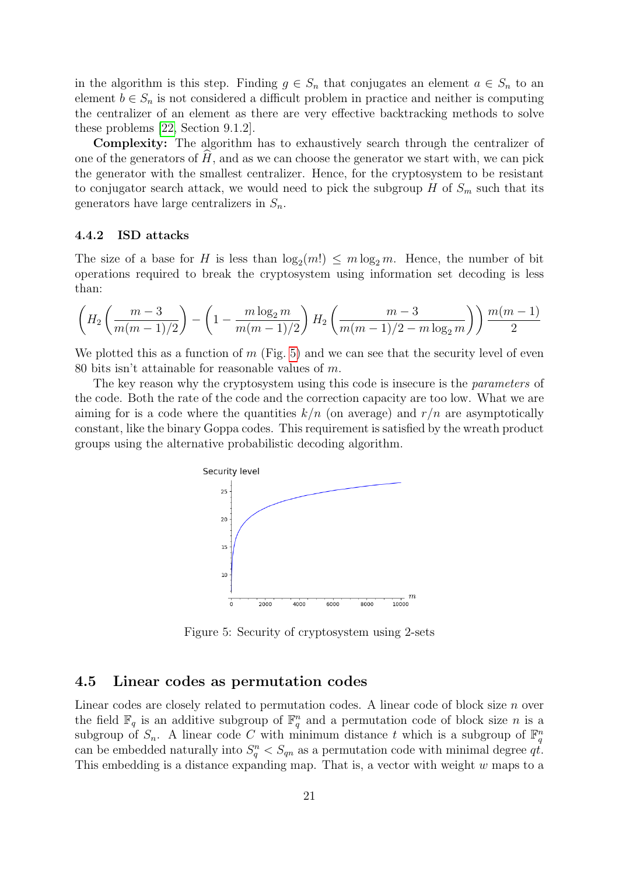in the algorithm is this step. Finding  $g \in S_n$  that conjugates an element  $a \in S_n$  to an element  $b \in S_n$  is not considered a difficult problem in practice and neither is computing the centralizer of an element as there are very effective backtracking methods to solve these problems [\[22,](#page-23-4) Section 9.1.2].

Complexity: The algorithm has to exhaustively search through the centralizer of one of the generators of  $H$ , and as we can choose the generator we start with, we can pick the generator with the smallest centralizer. Hence, for the cryptosystem to be resistant to conjugator search attack, we would need to pick the subgroup H of  $S_m$  such that its generators have large centralizers in  $S_n$ .

#### 4.4.2 ISD attacks

The size of a base for H is less than  $\log_2(m!) \le m \log_2 m$ . Hence, the number of bit operations required to break the cryptosystem using information set decoding is less than:

$$
\left(H_2\left(\frac{m-3}{m(m-1)/2}\right) - \left(1 - \frac{m\log_2 m}{m(m-1)/2}\right)H_2\left(\frac{m-3}{m(m-1)/2 - m\log_2 m}\right)\right) \frac{m(m-1)}{2}
$$

We plotted this as a function of  $m$  (Fig. [5\)](#page-20-0) and we can see that the security level of even 80 bits isn't attainable for reasonable values of m.

The key reason why the cryptosystem using this code is insecure is the *parameters* of the code. Both the rate of the code and the correction capacity are too low. What we are aiming for is a code where the quantities  $k/n$  (on average) and  $r/n$  are asymptotically constant, like the binary Goppa codes. This requirement is satisfied by the wreath product groups using the alternative probabilistic decoding algorithm.



<span id="page-20-0"></span>Figure 5: Security of cryptosystem using 2-sets

## 4.5 Linear codes as permutation codes

Linear codes are closely related to permutation codes. A linear code of block size n over the field  $\mathbb{F}_q$  is an additive subgroup of  $\mathbb{F}_q^n$  and a permutation code of block size n is a subgroup of  $S_n$ . A linear code C with minimum distance t which is a subgroup of  $\mathbb{F}_q^n$ can be embedded naturally into  $S_q^n < S_{qn}$  as a permutation code with minimal degree  $q\dot{t}$ . This embedding is a distance expanding map. That is, a vector with weight w maps to a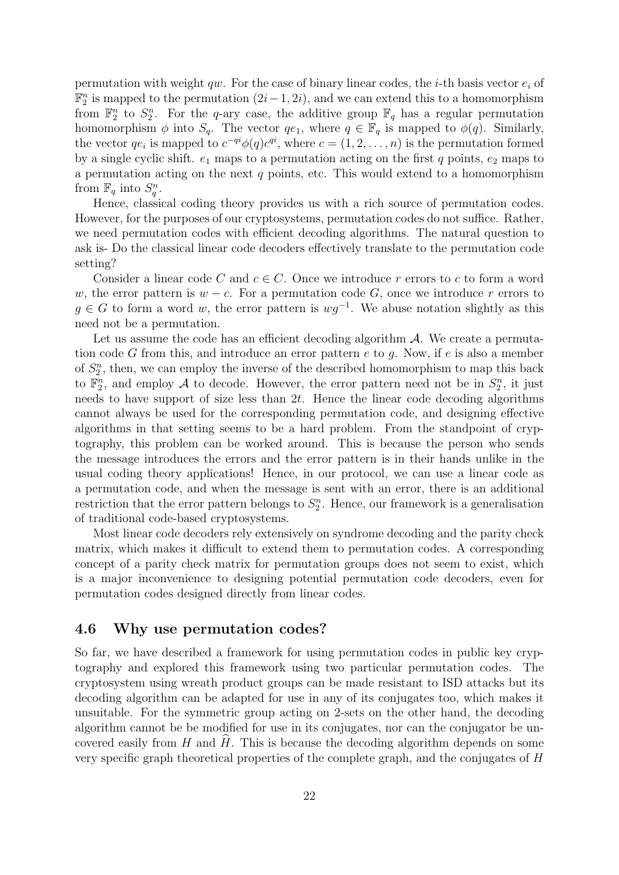permutation with weight qw. For the case of binary linear codes, the *i*-th basis vector  $e_i$  of  $\mathbb{F}_2^n$  is mapped to the permutation  $(2i-1, 2i)$ , and we can extend this to a homomorphism from  $\mathbb{F}_2^n$  to  $S_2^n$ . For the q-ary case, the additive group  $\mathbb{F}_q$  has a regular permutation homomorphism  $\phi$  into  $S_q$ . The vector  $qe_1$ , where  $q \in \mathbb{F}_q$  is mapped to  $\phi(q)$ . Similarly, the vector  $qe_i$  is mapped to  $c^{-qi}\phi(q)c^{qi}$ , where  $c = (1, 2, \ldots, n)$  is the permutation formed by a single cyclic shift.  $e_1$  maps to a permutation acting on the first q points,  $e_2$  maps to a permutation acting on the next  $q$  points, etc. This would extend to a homomorphism from  $\mathbb{F}_q$  into  $S_q^n$ .

Hence, classical coding theory provides us with a rich source of permutation codes. However, for the purposes of our cryptosystems, permutation codes do not suffice. Rather, we need permutation codes with efficient decoding algorithms. The natural question to ask is- Do the classical linear code decoders effectively translate to the permutation code setting?

Consider a linear code C and  $c \in C$ . Once we introduce r errors to c to form a word w, the error pattern is  $w - c$ . For a permutation code G, once we introduce r errors to  $g \in G$  to form a word w, the error pattern is  $wg^{-1}$ . We abuse notation slightly as this need not be a permutation.

Let us assume the code has an efficient decoding algorithm  $A$ . We create a permutation code G from this, and introduce an error pattern  $e$  to  $g$ . Now, if  $e$  is also a member of  $S_2^n$ , then, we can employ the inverse of the described homomorphism to map this back to  $\mathbb{F}_2^n$ , and employ A to decode. However, the error pattern need not be in  $S_2^n$ , it just needs to have support of size less than  $2t$ . Hence the linear code decoding algorithms cannot always be used for the corresponding permutation code, and designing effective algorithms in that setting seems to be a hard problem. From the standpoint of cryptography, this problem can be worked around. This is because the person who sends the message introduces the errors and the error pattern is in their hands unlike in the usual coding theory applications! Hence, in our protocol, we can use a linear code as a permutation code, and when the message is sent with an error, there is an additional restriction that the error pattern belongs to  $S_2^n$ . Hence, our framework is a generalisation of traditional code-based cryptosystems.

Most linear code decoders rely extensively on syndrome decoding and the parity check matrix, which makes it difficult to extend them to permutation codes. A corresponding concept of a parity check matrix for permutation groups does not seem to exist, which is a major inconvenience to designing potential permutation code decoders, even for permutation codes designed directly from linear codes.

### 4.6 Why use permutation codes?

So far, we have described a framework for using permutation codes in public key cryptography and explored this framework using two particular permutation codes. The cryptosystem using wreath product groups can be made resistant to ISD attacks but its decoding algorithm can be adapted for use in any of its conjugates too, which makes it unsuitable. For the symmetric group acting on 2-sets on the other hand, the decoding algorithm cannot be be modified for use in its conjugates, nor can the conjugator be uncovered easily from  $H$  and  $H$ . This is because the decoding algorithm depends on some very specific graph theoretical properties of the complete graph, and the conjugates of H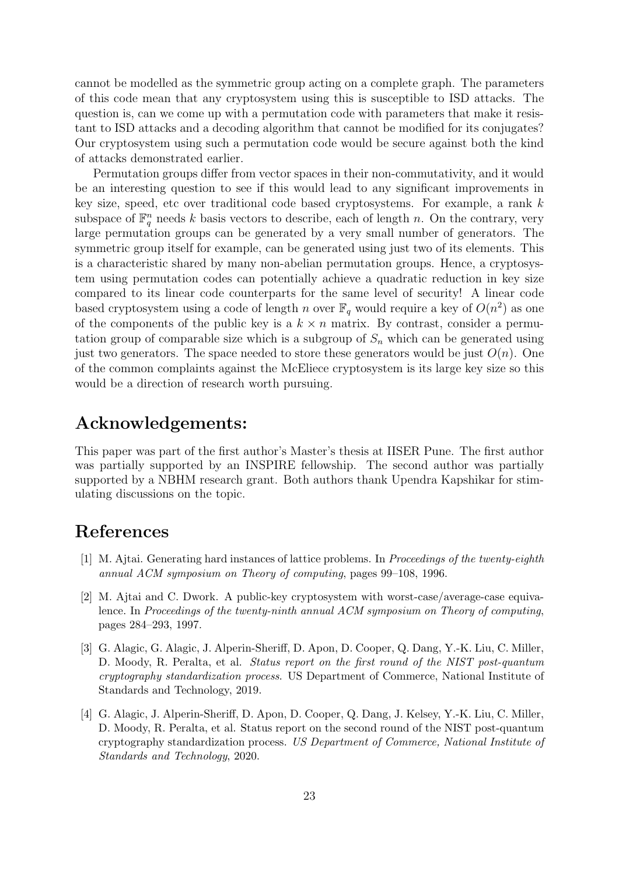cannot be modelled as the symmetric group acting on a complete graph. The parameters of this code mean that any cryptosystem using this is susceptible to ISD attacks. The question is, can we come up with a permutation code with parameters that make it resistant to ISD attacks and a decoding algorithm that cannot be modified for its conjugates? Our cryptosystem using such a permutation code would be secure against both the kind of attacks demonstrated earlier.

Permutation groups differ from vector spaces in their non-commutativity, and it would be an interesting question to see if this would lead to any significant improvements in key size, speed, etc over traditional code based cryptosystems. For example, a rank  $k$ subspace of  $\mathbb{F}_q^n$  needs k basis vectors to describe, each of length n. On the contrary, very large permutation groups can be generated by a very small number of generators. The symmetric group itself for example, can be generated using just two of its elements. This is a characteristic shared by many non-abelian permutation groups. Hence, a cryptosystem using permutation codes can potentially achieve a quadratic reduction in key size compared to its linear code counterparts for the same level of security! A linear code based cryptosystem using a code of length n over  $\mathbb{F}_q$  would require a key of  $O(n^2)$  as one of the components of the public key is a  $k \times n$  matrix. By contrast, consider a permutation group of comparable size which is a subgroup of  $S_n$  which can be generated using just two generators. The space needed to store these generators would be just  $O(n)$ . One of the common complaints against the McEliece cryptosystem is its large key size so this would be a direction of research worth pursuing.

# Acknowledgements:

This paper was part of the first author's Master's thesis at IISER Pune. The first author was partially supported by an INSPIRE fellowship. The second author was partially supported by a NBHM research grant. Both authors thank Upendra Kapshikar for stimulating discussions on the topic.

# References

- <span id="page-22-2"></span>[1] M. Ajtai. Generating hard instances of lattice problems. In Proceedings of the twenty-eighth annual ACM symposium on Theory of computing, pages 99–108, 1996.
- <span id="page-22-3"></span>[2] M. Ajtai and C. Dwork. A public-key cryptosystem with worst-case/average-case equivalence. In Proceedings of the twenty-ninth annual ACM symposium on Theory of computing, pages 284–293, 1997.
- <span id="page-22-0"></span>[3] G. Alagic, G. Alagic, J. Alperin-Sheriff, D. Apon, D. Cooper, Q. Dang, Y.-K. Liu, C. Miller, D. Moody, R. Peralta, et al. *Status report on the first round of the NIST post-quantum* cryptography standardization process. US Department of Commerce, National Institute of Standards and Technology, 2019.
- <span id="page-22-1"></span>[4] G. Alagic, J. Alperin-Sheriff, D. Apon, D. Cooper, Q. Dang, J. Kelsey, Y.-K. Liu, C. Miller, D. Moody, R. Peralta, et al. Status report on the second round of the NIST post-quantum cryptography standardization process. US Department of Commerce, National Institute of Standards and Technology, 2020.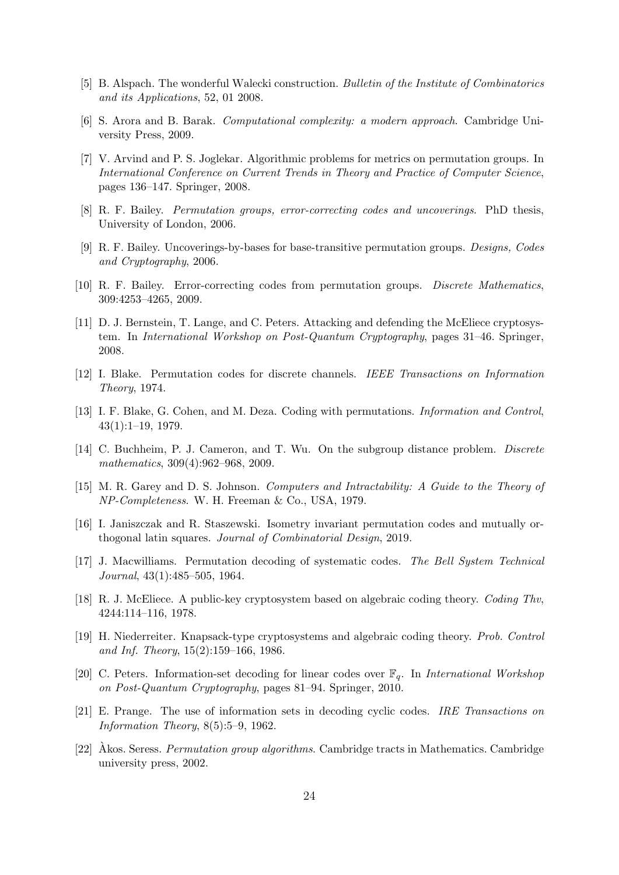- <span id="page-23-6"></span>[5] B. Alspach. The wonderful Walecki construction. Bulletin of the Institute of Combinatorics and its Applications, 52, 01 2008.
- <span id="page-23-9"></span>[6] S. Arora and B. Barak. Computational complexity: a modern approach. Cambridge University Press, 2009.
- <span id="page-23-8"></span>[7] V. Arvind and P. S. Joglekar. Algorithmic problems for metrics on permutation groups. In International Conference on Current Trends in Theory and Practice of Computer Science, pages 136–147. Springer, 2008.
- <span id="page-23-0"></span>[8] R. F. Bailey. Permutation groups, error-correcting codes and uncoverings. PhD thesis, University of London, 2006.
- [9] R. F. Bailey. Uncoverings-by-bases for base-transitive permutation groups. *Designs, Codes* and Cryptography, 2006.
- <span id="page-23-1"></span>[10] R. F. Bailey. Error-correcting codes from permutation groups. Discrete Mathematics, 309:4253–4265, 2009.
- <span id="page-23-15"></span>[11] D. J. Bernstein, T. Lange, and C. Peters. Attacking and defending the McEliece cryptosystem. In International Workshop on Post-Quantum Cryptography, pages 31–46. Springer, 2008.
- <span id="page-23-2"></span>[12] I. Blake. Permutation codes for discrete channels. IEEE Transactions on Information Theory, 1974.
- <span id="page-23-3"></span>[13] I. F. Blake, G. Cohen, and M. Deza. Coding with permutations. Information and Control, 43(1):1–19, 1979.
- <span id="page-23-7"></span>[14] C. Buchheim, P. J. Cameron, and T. Wu. On the subgroup distance problem. *Discrete* mathematics, 309(4):962–968, 2009.
- <span id="page-23-10"></span>[15] M. R. Garey and D. S. Johnson. Computers and Intractability: A Guide to the Theory of NP-Completeness. W. H. Freeman & Co., USA, 1979.
- <span id="page-23-13"></span>[16] I. Janiszczak and R. Staszewski. Isometry invariant permutation codes and mutually orthogonal latin squares. Journal of Combinatorial Design, 2019.
- <span id="page-23-5"></span>[17] J. Macwilliams. Permutation decoding of systematic codes. The Bell System Technical Journal, 43(1):485–505, 1964.
- <span id="page-23-11"></span>[18] R. J. McEliece. A public-key cryptosystem based on algebraic coding theory. Coding Thv, 4244:114–116, 1978.
- <span id="page-23-12"></span>[19] H. Niederreiter. Knapsack-type cryptosystems and algebraic coding theory. Prob. Control and Inf. Theory, 15(2):159–166, 1986.
- <span id="page-23-16"></span>[20] C. Peters. Information-set decoding for linear codes over  $\mathbb{F}_q$ . In *International Workshop* on Post-Quantum Cryptography, pages 81–94. Springer, 2010.
- <span id="page-23-14"></span>[21] E. Prange. The use of information sets in decoding cyclic codes. IRE Transactions on Information Theory, 8(5):5–9, 1962.
- <span id="page-23-4"></span>[22] Akos. Seress. *Permutation group algorithms*. Cambridge tracts in Mathematics. Cambridge university press, 2002.